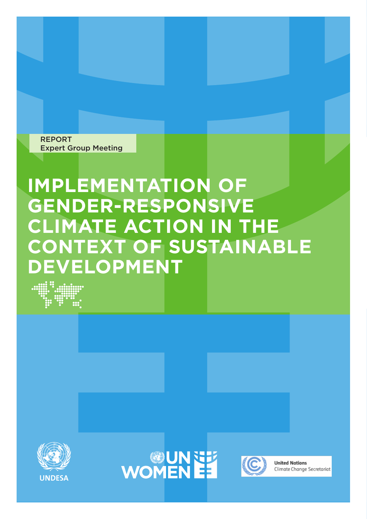REPORT Expert Group Meeting

# **IMPLEMENTATION OF GENDER-RESPONSIVE CLIMATE ACTION IN THE CONTEXT OF SUSTAINABLE DEVELOPMENT**







**United Nations** Climate Change Secretariat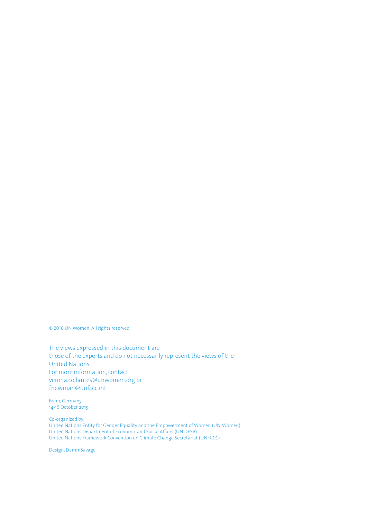© 2016 UN Women. All rights reserved.

The views expressed in this document are those of the experts and do not necessarily represent the views of the United Nations. For more information, contact verona.collantes@unwomen.org or fnewman@unfccc.int

Bonn, Germany 14-16 October 2015

Co-organized by: United Nations Entity for Gender Equality and the Empowerment of Women (UN-Women) United Nations Department of Economic and Social Affairs (UN DESA) United Nations Framework Convention on Climate Change Secretariat (UNFCCC)

Design: DammSavage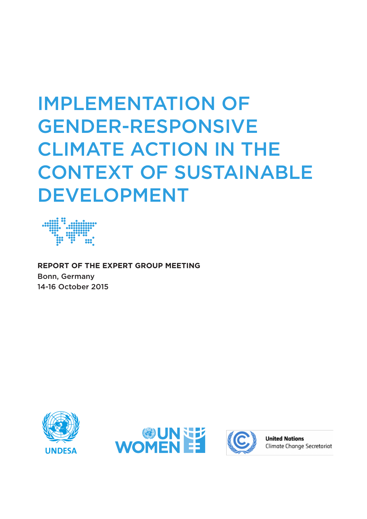# IMPLEMENTATION OF GENDER-RESPONSIVE CLIMATE ACTION IN THE CONTEXT OF SUSTAINABLE DEVELOPMENT



**REPORT OF THE EXPERT GROUP MEETING** Bonn, Germany 14-16 October 2015







**United Nations** Climate Change Secretariat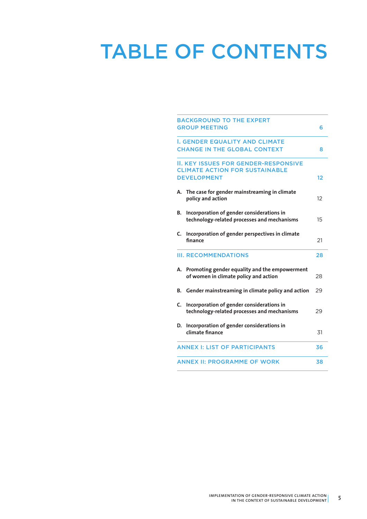# TABLE OF CONTENTS

| <b>BACKGROUND TO THE EXPERT</b><br><b>GROUP MEETING</b> |                                                                                                            |    |
|---------------------------------------------------------|------------------------------------------------------------------------------------------------------------|----|
|                                                         | <b>I. GENDER EQUALITY AND CLIMATE</b><br><b>CHANGE IN THE GLOBAL CONTEXT</b>                               | 8  |
|                                                         | <b>II. KEY ISSUES FOR GENDER-RESPONSIVE</b><br><b>CLIMATE ACTION FOR SUSTAINABLE</b><br><b>DEVELOPMENT</b> | 12 |
| А.                                                      | The case for gender mainstreaming in climate<br>policy and action                                          | 12 |
| В.                                                      | Incorporation of gender considerations in<br>technology-related processes and mechanisms                   | 15 |
| C.                                                      | Incorporation of gender perspectives in climate<br>finance                                                 | 21 |
|                                                         | <b>III. RECOMMENDATIONS</b>                                                                                | 28 |
| А.                                                      | Promoting gender equality and the empowerment<br>of women in climate policy and action                     | 28 |
| В.                                                      | Gender mainstreaming in climate policy and action                                                          | 29 |
| C.                                                      | Incorporation of gender considerations in<br>technology-related processes and mechanisms                   | 29 |
| D.                                                      | Incorporation of gender considerations in<br>climate finance                                               | 31 |
|                                                         | <b>ANNEX I: LIST OF PARTICIPANTS</b>                                                                       | 36 |
|                                                         | <b>ANNEX II: PROGRAMME OF WORK</b>                                                                         | 38 |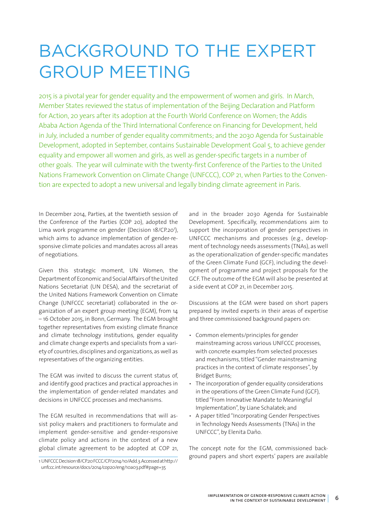# BACKGROUND TO THE EXPERT GROUP MEETING

2015 is a pivotal year for gender equality and the empowerment of women and girls. In March, Member States reviewed the status of implementation of the Beijing Declaration and Platform for Action, 20 years after its adoption at the Fourth World Conference on Women; the Addis Ababa Action Agenda of the Third International Conference on Financing for Development, held in July, included a number of gender equality commitments; and the 2030 Agenda for Sustainable Development, adopted in September, contains Sustainable Development Goal 5, to achieve gender equality and empower all women and girls, as well as gender-specific targets in a number of other goals. The year will culminate with the twenty-first Conference of the Parties to the United Nations Framework Convention on Climate Change (UNFCCC), COP 21, when Parties to the Convention are expected to adopt a new universal and legally binding climate agreement in Paris.

In December 2014, Parties, at the twentieth session of the Conference of the Parties (COP 20), adopted the Lima work programme on gender (Decision 18/CP.20<sup>1</sup>), which aims to advance implementation of gender-responsive climate policies and mandates across all areas of negotiations.

Given this strategic moment, UN Women, the Department of Economic and Social Affairs of the United Nations Secretariat (UN DESA), and the secretariat of the United Nations Framework Convention on Climate Change (UNFCCC secretariat) collaborated in the organization of an expert group meeting (EGM), from 14 – 16 October 2015, in Bonn, Germany. The EGM brought together representatives from existing climate finance and climate technology institutions, gender equality and climate change experts and specialists from a variety of countries, disciplines and organizations, as well as representatives of the organizing entities.

The EGM was invited to discuss the current status of, and identify good practices and practical approaches in the implementation of gender-related mandates and decisions in UNFCCC processes and mechanisms.

The EGM resulted in recommendations that will assist policy makers and practitioners to formulate and implement gender-sensitive and gender-responsive climate policy and actions in the context of a new global climate agreement to be adopted at COP 21,

and in the broader 2030 Agenda for Sustainable Development. Specifically, recommendations aim to support the incorporation of gender perspectives in UNFCCC mechanisms and processes (e.g., development of technology needs assessments (TNAs), as well as the operationalization of gender-specific mandates of the Green Climate Fund (GCF), including the development of programme and project proposals for the GCF. The outcome of the EGM will also be presented at a side event at COP 21, in December 2015.

Discussions at the EGM were based on short papers prepared by invited experts in their areas of expertise and three commissioned background papers on:

- Common elements/principles for gender mainstreaming across various UNFCCC processes, with concrete examples from selected processes and mechanisms, titled "Gender mainstreaming practices in the context of climate responses", by Bridget Burns;
- The incorporation of gender equality considerations in the operations of the Green Climate Fund (GCF), titled "From Innovative Mandate to Meaningful Implementation", by Liane Schalatek; and
- A paper titled "Incorporating Gender Perspectives in Technology Needs Assessments (TNAs) in the UNFCCC", by Elenita Daño.

The concept note for the EGM, commissioned background papers and short experts' papers are available

<sup>1</sup> UNFCCC Decision 18/CP.20 FCCC/CP/2014/10/Add.3. Accessed at http:// unfccc.int/resource/docs/2014/cop20/eng/10a03.pdf#page=35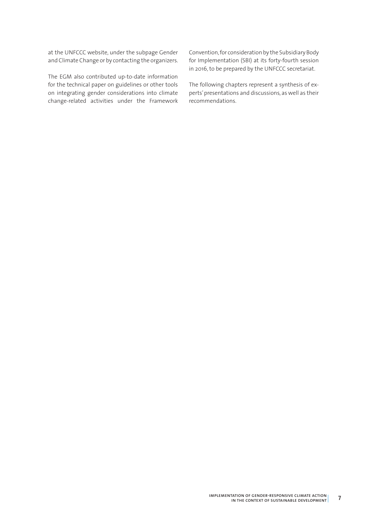at the UNFCCC website, under the subpage Gender and Climate Change or by contacting the organizers.

The EGM also contributed up-to-date information for the technical paper on guidelines or other tools on integrating gender considerations into climate change-related activities under the Framework Convention, for consideration by the Subsidiary Body for Implementation (SBI) at its forty-fourth session in 2016, to be prepared by the UNFCCC secretariat.

The following chapters represent a synthesis of experts' presentations and discussions, as well as their recommendations.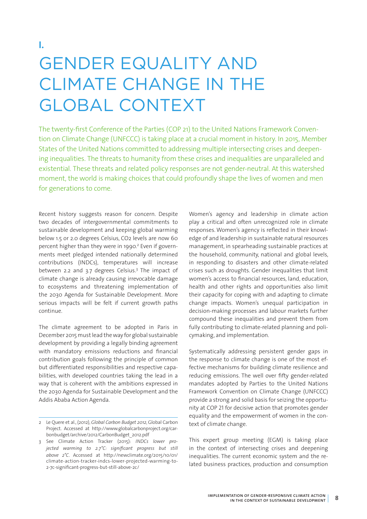# GENDER EQUALITY AND CLIMATE CHANGE IN THE GLOBAL CONTEXT

The twenty-first Conference of the Parties (COP 21) to the United Nations Framework Convention on Climate Change (UNFCCC) is taking place at a crucial moment in history. In 2015, Member States of the United Nations committed to addressing multiple intersecting crises and deepening inequalities. The threats to humanity from these crises and inequalities are unparalleled and existential. These threats and related policy responses are not gender-neutral. At this watershed moment, the world is making choices that could profoundly shape the lives of women and men for generations to come.

Recent history suggests reason for concern. Despite two decades of intergovernmental commitments to sustainable development and keeping global warming below 1.5 or 2.0 degrees Celsius, CO2 levels are now 60 percent higher than they were in 1990.<sup>2</sup> Even if governments meet pledged intended nationally determined contributions (INDCs), temperatures will increase between 2.2 and 3.7 degrees Celsius.3 The impact of climate change is already causing irrevocable damage to ecosystems and threatening implementation of the 2030 Agenda for Sustainable Development. More serious impacts will be felt if current growth paths continue.

The climate agreement to be adopted in Paris in December 2015 must lead the way for global sustainable development by providing a legally binding agreement with mandatory emissions reductions and financial contribution goals following the principle of common but differentiated responsibilities and respective capabilities, with developed countries taking the lead in a way that is coherent with the ambitions expressed in the 2030 Agenda for Sustainable Development and the Addis Ababa Action Agenda.

Women's agency and leadership in climate action play a critical and often unrecognized role in climate responses. Women's agency is reflected in their knowledge of and leadership in sustainable natural resources management, in spearheading sustainable practices at the household, community, national and global levels, in responding to disasters and other climate-related crises such as droughts. Gender inequalities that limit women's access to financial resources, land, education, health and other rights and opportunities also limit their capacity for coping with and adapting to climate change impacts. Women's unequal participation in decision-making processes and labour markets further compound these inequalities and prevent them from fully contributing to climate-related planning and policymaking, and implementation.

Systematically addressing persistent gender gaps in the response to climate change is one of the most effective mechanisms for building climate resilience and reducing emissions. The well over fifty gender-related mandates adopted by Parties to the United Nations Framework Convention on Climate Change (UNFCCC) provide a strong and solid basis for seizing the opportunity at COP 21 for decisive action that promotes gender equality and the empowerment of women in the context of climate change.

This expert group meeting (EGM) is taking place in the context of intersecting crises and deepening inequalities. The current economic system and the related business practices, production and consumption

<sup>2</sup> Le Quere et al., (2012), *Global Carbon Budget 2012*, Global Carbon Project. Accessed at http://www.globalcarbonproject.org/carbonbudget/archive/2012/CarbonBudget\_2012.pdf

<sup>3</sup> See Climate Action Tracker (2015): *INDCs lower projected warming to 2.7°C: significant progress but still above 2°C*. Accessed at http://newclimate.org/2015/10/01/ climate-action-tracker-indcs-lower-projected-warming-to-2-7c-significant-progress-but-still-above-2c/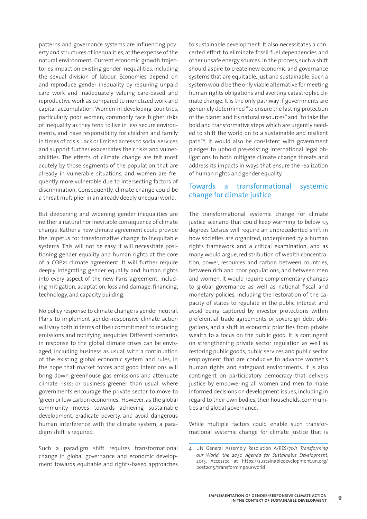patterns and governance systems are influencing poverty and structures of inequalities, at the expense of the natural environment. Current economic growth trajectories impact on existing gender inequalities, including the sexual division of labour. Economies depend on and reproduce gender inequality by requiring unpaid care work and inadequately valuing care-based and reproductive work as compared to monetized work and capital accumulation. Women in developing countries, particularly poor women, commonly face higher risks of inequality as they tend to live in less secure environments, and have responsibility for children and family in times of crisis. Lack or limited access to social services and support further exacerbates their risks and vulnerabilities. The effects of climate change are felt most acutely by those segments of the population that are already in vulnerable situations, and women are frequently more vulnerable due to intersecting factors of discrimination. Consequently, climate change could be a threat multiplier in an already deeply unequal world.

But deepening and widening gender inequalities are neither a natural nor inevitable consequence of climate change. Rather a new climate agreement could provide the impetus for transformative change to inequitable systems. This will not be easy. It will necessitate positioning gender equality and human rights at the core of a COP21 climate agreement. It will further require deeply integrating gender equality and human rights into every aspect of the new Paris agreement, including mitigation, adaptation, loss and damage, financing, technology, and capacity building.

No policy response to climate change is gender neutral. Plans to implement gender-responsive climate action will vary both in terms of their commitment to reducing emissions and rectifying inequities. Different scenarios in response to the global climate crises can be envisaged, including business as usual, with a continuation of the existing global economic system and rules, in the hope that market forces and good intentions will bring down greenhouse gas emissions and attenuate climate risks; or business greener than usual, where governments encourage the private sector to move to 'green or low carbon economies'. However, as the global community moves towards achieving sustainable development, eradicate poverty, and avoid dangerous human interference with the climate system, a paradigm shift is required.

Such a paradigm shift requires transformational change in global governance and economic development towards equitable and rights-based approaches

to sustainable development. It also necessitates a concerted effort to eliminate fossil fuel dependencies and other unsafe energy sources. In the process, such a shift should aspire to create new economic and governance systems that are equitable, just and sustainable. Such a system would be the only viable alternative for meeting human rights obligations and averting catastrophic climate change. It is the only pathway if governments are genuinely determined "to ensure the lasting protection of the planet and its natural resources" and "to take the bold and transformative steps which are urgently needed to shift the world on to a sustainable and resilient path"4 . It would also be consistent with government pledges to uphold pre-existing international legal obligations to both mitigate climate change threats and address its impacts in ways that ensure the realization of human rights and gender equality.

### Towards a transformational systemic change for climate justice

The transformational systemic change for climate justice scenario that could keep warming to below 1.5 degrees Celsius will require an unprecedented shift in how societies are organized, underpinned by a human rights framework and a critical examination, and as many would argue, redistribution of wealth concentration, power, resources and carbon between countries, between rich and poor populations, and between men and women. It would require complementary changes to global governance as well as national fiscal and monetary policies, including the restoration of the capacity of states to regulate in the public interest and avoid being captured by investor protections within preferential trade agreements or sovereign debt obligations, and a shift in economic priorities from private wealth to a focus on the public good. It is contingent on strengthening private sector regulation as well as restoring public goods, public services and public sector employment that are conducive to advance women's human rights and safeguard environments. It is also contingent on participatory democracy that delivers justice by empowering all women and men to make informed decisions on development issues, including in regard to their own bodies, their households, communities and global governance.

While multiple factors could enable such transformational systemic change for climate justice that is

<sup>4</sup> UN General Assembly Resolution A/RES/70/1 *Transforming our World: the 2030 Agenda for Sustainable Development*, 2015. Accessed at https://sustainabledevelopment.un.org/ post2015/transformingourworld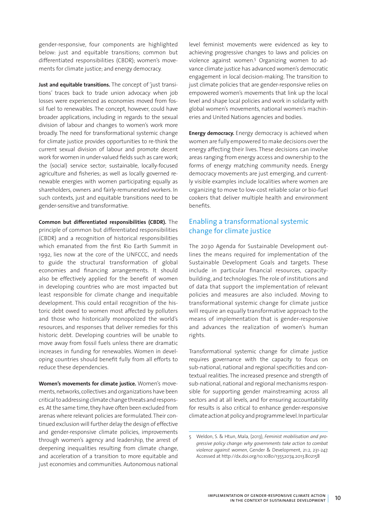gender-responsive, four components are highlighted below: just and equitable transitions; common but differentiated responsibilities (CBDR); women's movements for climate justice; and energy democracy.

**Just and equitable transitions.** The concept of 'just transitions' traces back to trade union advocacy when job losses were experienced as economies moved from fossil fuel to renewables. The concept, however, could have broader applications, including in regards to the sexual division of labour and changes to women's work more broadly. The need for transformational systemic change for climate justice provides opportunities to re-think the current sexual division of labour and promote decent work for women in under-valued fields such as care work; the (social) service sector; sustainable, locally-focused agriculture and fisheries; as well as locally governed renewable energies with women participating equally as shareholders, owners and fairly-remunerated workers. In such contexts, just and equitable transitions need to be gender-sensitive and transformative.

**Common but differentiated responsibilities (CBDR).** The principle of common but differentiated responsibilities (CBDR) and a recognition of historical responsibilities which emanated from the first Rio Earth Summit in 1992, lies now at the core of the UNFCCC, and needs to guide the structural transformation of global economies and financing arrangements. It should also be effectively applied for the benefit of women in developing countries who are most impacted but least responsible for climate change and inequitable development. This could entail recognition of the historic debt owed to women most affected by polluters and those who historically monopolized the world's resources, and responses that deliver remedies for this historic debt. Developing countries will be unable to move away from fossil fuels unless there are dramatic increases in funding for renewables. Women in developing countries should benefit fully from all efforts to reduce these dependencies.

**Women's movements for climate justice.** Women's movements, networks, collectives and organizations have been critical to addressing climate change threats and responses. At the same time, they have often been excluded from arenas where relevant policies are formulated. Their continued exclusion will further delay the design of effective and gender-responsive climate policies, improvements through women's agency and leadership, the arrest of deepening inequalities resulting from climate change, and acceleration of a transition to more equitable and just economies and communities. Autonomous national

level feminist movements were evidenced as key to achieving progressive changes to laws and policies on violence against women.<sup>5</sup> Organizing women to advance climate justice has advanced women's democratic engagement in local decision-making. The transition to just climate policies that are gender-responsive relies on empowered women's movements that link up the local level and shape local policies and work in solidarity with global women's movements, national women's machineries and United Nations agencies and bodies.

**Energy democracy.** Energy democracy is achieved when women are fully empowered to make decisions over the energy affecting their lives. These decisions can involve areas ranging from energy access and ownership to the forms of energy matching community needs. Energy democracy movements are just emerging, and currently visible examples include localities where women are organizing to move to low-cost reliable solar or bio-fuel cookers that deliver multiple health and environment benefits.

# Enabling a transformational systemic change for climate justice

The 2030 Agenda for Sustainable Development outlines the means required for implementation of the Sustainable Development Goals and targets. These include in particular financial resources, capacitybuilding, and technologies. The role of institutions and of data that support the implementation of relevant policies and measures are also included. Moving to transformational systemic change for climate justice will require an equally transformative approach to the means of implementation that is gender-responsive and advances the realization of women's human rights.

Transformational systemic change for climate justice requires governance with the capacity to focus on sub-national, national and regional specificities and contextual realities. The increased presence and strength of sub-national, national and regional mechanisms responsible for supporting gender mainstreaming across all sectors and at all levels, and for ensuring accountability for results is also critical to enhance gender-responsive climate action at policy and programme level. In particular

<sup>5</sup> Weldon, S. & Htun, Mala, (2013), *Feminist mobilisation and progressive policy change: why governments take action to combat violence against women*, Gender & Development, 21:2, 231-247. Accessed at http://dx.doi.org/10.1080/13552074.2013.802158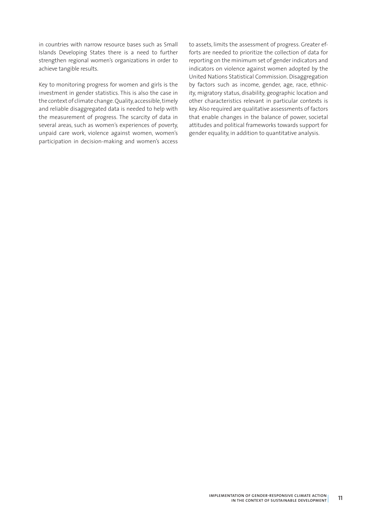in countries with narrow resource bases such as Small Islands Developing States there is a need to further strengthen regional women's organizations in order to achieve tangible results.

Key to monitoring progress for women and girls is the investment in gender statistics. This is also the case in the context of climate change. Quality, accessible, timely and reliable disaggregated data is needed to help with the measurement of progress. The scarcity of data in several areas, such as women's experiences of poverty, unpaid care work, violence against women, women's participation in decision-making and women's access to assets, limits the assessment of progress. Greater efforts are needed to prioritize the collection of data for reporting on the minimum set of gender indicators and indicators on violence against women adopted by the United Nations Statistical Commission. Disaggregation by factors such as income, gender, age, race, ethnicity, migratory status, disability, geographic location and other characteristics relevant in particular contexts is key. Also required are qualitative assessments of factors that enable changes in the balance of power, societal attitudes and political frameworks towards support for gender equality, in addition to quantitative analysis.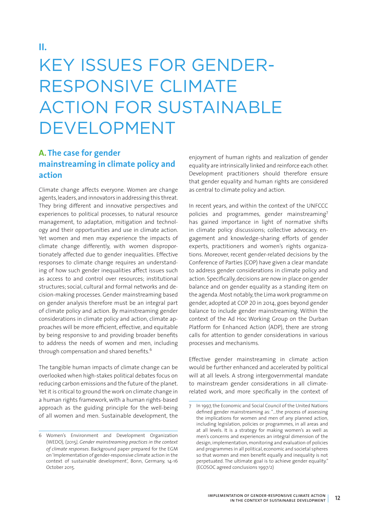# KEY ISSUES FOR GENDER-RESPONSIVE CLIMATE ACTION FOR SUSTAINABLE DEVELOPMENT

# **A. The case for gender mainstreaming in climate policy and action**

Climate change affects everyone. Women are change agents, leaders, and innovators in addressing this threat. They bring different and innovative perspectives and experiences to political processes, to natural resource management, to adaptation, mitigation and technology and their opportunities and use in climate action. Yet women and men may experience the impacts of climate change differently, with women disproportionately affected due to gender inequalities. Effective responses to climate change requires an understanding of how such gender inequalities affect issues such as access to and control over resources; institutional structures; social, cultural and formal networks and decision-making processes. Gender mainstreaming based on gender analysis therefore must be an integral part of climate policy and action. By mainstreaming gender considerations in climate policy and action, climate approaches will be more efficient, effective, and equitable by being responsive to and providing broader benefits to address the needs of women and men, including through compensation and shared benefits.<sup>6</sup>

The tangible human impacts of climate change can be overlooked when high-stakes political debates focus on reducing carbon emissions and the future of the planet. Yet it is critical to ground the work on climate change in a human rights framework, with a human rights-based approach as the guiding principle for the well-being of all women and men. Sustainable development, the

enjoyment of human rights and realization of gender equality are intrinsically linked and reinforce each other. Development practitioners should therefore ensure that gender equality and human rights are considered as central to climate policy and action.

In recent years, and within the context of the UNFCCC policies and programmes, gender mainstreaming<sup>7</sup> has gained importance in light of normative shifts in climate policy discussions; collective advocacy, engagement and knowledge-sharing efforts of gender experts, practitioners and women's rights organizations. Moreover, recent gender-related decisions by the Conference of Parties (COP) have given a clear mandate to address gender considerations in climate policy and action. Specifically, decisions are now in place on gender balance and on gender equality as a standing item on the agenda. Most notably, the Lima work programme on gender, adopted at COP 20 in 2014, goes beyond gender balance to include gender mainstreaming. Within the context of the Ad Hoc Working Group on the Durban Platform for Enhanced Action (ADP), there are strong calls for attention to gender considerations in various processes and mechanisms.

Effective gender mainstreaming in climate action would be further enhanced and accelerated by political will at all levels. A strong intergovernmental mandate to mainstream gender considerations in all climaterelated work, and more specifically in the context of

<sup>6</sup> Women's Environment and Development Organization (WEDO), (2015*), Gender mainstreaming practices in the context of climate responses*. Background paper prepared for the EGM on 'Implementation of gender-responsive climate action in the context of sustainable development', Bonn, Germany, 14-16 October 2015.

<sup>7</sup> In 1997, the Economic and Social Council of the United Nations defined gender mainstreaming as: "…the process of assessing the implications for women and men of any planned action, including legislation, policies or programmes, in all areas and at all levels. It is a strategy for making women's as well as men's concerns and experiences an integral dimension of the design, implementation, monitoring and evaluation of policies and programmes in all political, economic and societal spheres so that women and men benefit equally and inequality is not perpetuated. The ultimate goal is to achieve gender equality." (ECOSOC agreed conclusions 1997/2)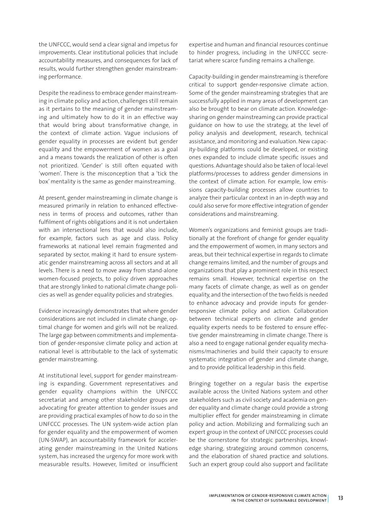the UNFCCC, would send a clear signal and impetus for improvements. Clear institutional policies that include accountability measures, and consequences for lack of results, would further strengthen gender mainstreaming performance.

Despite the readiness to embrace gender mainstreaming in climate policy and action, challenges still remain as it pertains to the meaning of gender mainstreaming and ultimately how to do it in an effective way that would bring about transformative change, in the context of climate action. Vague inclusions of gender equality in processes are evident but gender equality and the empowerment of women as a goal and a means towards the realization of other is often not prioritized. 'Gender' is still often equated with 'women'. There is the misconception that a 'tick the box' mentality is the same as gender mainstreaming.

At present, gender mainstreaming in climate change is measured primarily in relation to enhanced effectiveness in terms of process and outcomes, rather than fulfilment of rights obligations and it is not undertaken with an intersectional lens that would also include. for example, factors such as age and class. Policy frameworks at national level remain fragmented and separated by sector, making it hard to ensure systematic gender mainstreaming across all sectors and at all levels. There is a need to move away from stand-alone women-focused projects, to policy driven approaches that are strongly linked to national climate change policies as well as gender equality policies and strategies.

Evidence increasingly demonstrates that where gender considerations are not included in climate change, optimal change for women and girls will not be realized. The large gap between commitments and implementation of gender-responsive climate policy and action at national level is attributable to the lack of systematic gender mainstreaming.

At institutional level, support for gender mainstreaming is expanding. Government representatives and gender equality champions within the UNFCCC secretariat and among other stakeholder groups are advocating for greater attention to gender issues and are providing practical examples of how to do so in the UNFCCC processes. The UN system-wide action plan for gender equality and the empowerment of women (UN-SWAP), an accountability framework for accelerating gender mainstreaming in the United Nations system, has increased the urgency for more work with measurable results. However, limited or insufficient expertise and human and financial resources continue to hinder progress, including in the UNFCCC secretariat where scarce funding remains a challenge.

Capacity-building in gender mainstreaming is therefore critical to support gender-responsive climate action. Some of the gender mainstreaming strategies that are successfully applied in many areas of development can also be brought to bear on climate action. Knowledgesharing on gender mainstreaming can provide practical guidance on how to use the strategy, at the level of policy analysis and development, research, technical assistance, and monitoring and evaluation. New capacity-building platforms could be developed, or existing ones expanded to include climate specific issues and questions. Advantage should also be taken of local-level platforms/processes to address gender dimensions in the context of climate action. For example, low emissions capacity-building processes allow countries to analyze their particular context in an in-depth way and could also serve for more effective integration of gender considerations and mainstreaming.

Women's organizations and feminist groups are traditionally at the forefront of change for gender equality and the empowerment of women, in many sectors and areas, but their technical expertise in regards to climate change remains limited, and the number of groups and organizations that play a prominent role in this respect remains small. However, technical expertise on the many facets of climate change, as well as on gender equality, and the intersection of the two fields is needed to enhance advocacy and provide inputs for genderresponsive climate policy and action. Collaboration between technical experts on climate and gender equality experts needs to be fostered to ensure effective gender mainstreaming in climate change. There is also a need to engage national gender equality mechanisms/machineries and build their capacity to ensure systematic integration of gender and climate change, and to provide political leadership in this field.

Bringing together on a regular basis the expertise available across the United Nations system and other stakeholders such as civil society and academia on gender equality and climate change could provide a strong multiplier effect for gender mainstreaming in climate policy and action. Mobilizing and formalizing such an expert group in the context of UNFCCC processes could be the cornerstone for strategic partnerships, knowledge sharing, strategizing around common concerns, and the elaboration of shared practice and solutions. Such an expert group could also support and facilitate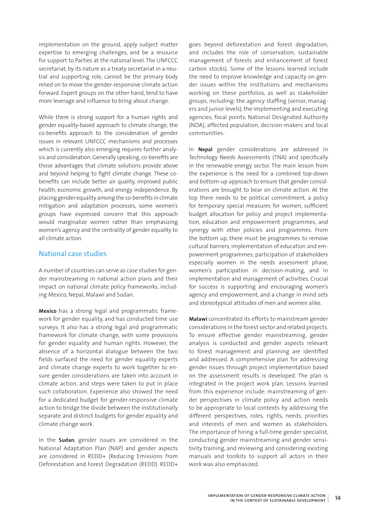implementation on the ground, apply subject matter expertise to emerging challenges, and be a resource for support to Parties at the national level. The UNFCCC secretariat, by its nature as a treaty secretariat in a neutral and supporting role, cannot be the primary body relied on to move the gender-responsive climate action forward. Expert groups on the other hand, tend to have more leverage and influence to bring about change.

While there is strong support for a human rights and gender equality-based approach to climate change, the co-benefits approach to the consideration of gender issues in relevant UNFCCC mechanisms and processes which is currently also emerging requires further analysis and consideration. Generally speaking, co-benefits are those advantages that climate solutions provide above and beyond helping to fight climate change. These cobenefits can include better air quality, improved public health, economic growth, and energy independence. By placing gender equality among the co-benefits in climate mitigation and adaptation processes, some women's groups have expressed concern that this approach would marginalize women rather than emphasizing women's agency and the centrality of gender equality to all climate action.

## National case studies

A number of countries can serve as case studies for gender mainstreaming in national action plans and their impact on national climate policy frameworks, including Mexico, Nepal, Malawi and Sudan.

**Mexico** has a strong legal and programmatic framework for gender equality, and has conducted time use surveys. It also has a strong legal and programmatic framework for climate change, with some provisions for gender equality and human rights. However, the absence of a horizontal dialogue between the two fields surfaced the need for gender equality experts and climate change experts to work together to ensure gender considerations are taken into account in climate action, and steps were taken to put in place such collaboration. Experience also showed the need for a dedicated budget for gender-responsive climate action to bridge the divide between the institutionally separate and distinct budgets for gender equality and climate change work.

In the **Sudan**, gender issues are considered in the National Adaptation Plan (NAP) and gender aspects are considered in REDD+ (Reducing Emissions from Deforestation and Forest Degradation (REDD). REDD+

goes beyond deforestation and forest degradation, and includes the role of conservation, sustainable management of forests and enhancement of forest carbon stocks). Some of the lessons learned include the need to improve knowledge and capacity on gender issues within the institutions and mechanisms working on these portfolios, as well as stakeholder groups, including: the agency staffing (senior, managers and junior levels), the implementing and executing agencies, focal points, National Designated Authority (NDA), affected population, decision-makers and local communities.

In **Nepal** gender considerations are addressed in Technology Needs Assessments (TNA) and specifically in the renewable energy sector. The main lesson from the experience is the need for a combined top-down and bottom-up approach to ensure that gender considerations are brought to bear on climate action. At the top there needs to be political commitment, a policy for temporary special measures for women, sufficient budget allocation for policy and project implementation, education and empowerment programmes, and synergy with other policies and programmes. From the bottom up, there must be programmes to remove cultural barriers, implementation of education and empowerment programmes; participation of stakeholders especially women in the needs assessment phase, women's participation in decision-making, and in implementation and management of activities. Crucial for success is supporting and encouraging women's agency and empowerment, and a change in mind sets and stereotypical attitudes of men and women alike.

**Malawi** concentrated its efforts to mainstream gender considerations in the forest sector and related projects. To ensure effective gender mainstreaming, gender analysis is conducted and gender aspects relevant to forest management and planning are identified and addressed. A comprehensive plan for addressing gender issues through project implementation based on the assessment results is developed. The plan is integrated in the project work plan. Lessons learned from this experience include: mainstreaming of gender perspectives in climate policy and action needs to be appropriate to local contexts by addressing the different perspectives, roles, rights, needs, priorities and interests of men and women as stakeholders. The importance of hiring a full-time gender specialist, conducting gender mainstreaming and gender sensitivity training, and reviewing and considering existing manuals and toolkits to support all actors in their work was also emphasized.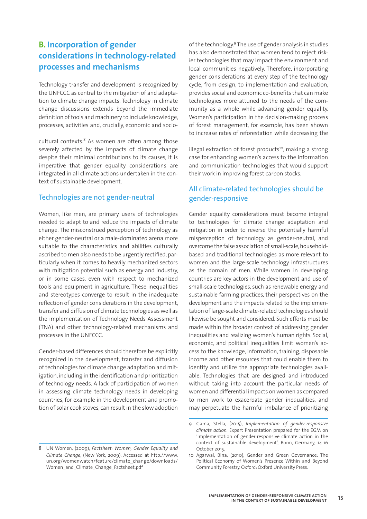# **B. Incorporation of gender considerations in technology-related processes and mechanisms**

Technology transfer and development is recognized by the UNFCCC as central to the mitigation of and adaptation to climate change impacts. Technology in climate change discussions extends beyond the immediate definition of tools and machinery to include knowledge, processes, activities and, crucially, economic and socio-

cultural contexts.<sup>8</sup> As women are often among those severely affected by the impacts of climate change despite their minimal contributions to its causes, it is imperative that gender equality considerations are integrated in all climate actions undertaken in the context of sustainable development.

### Technologies are not gender-neutral

Women, like men, are primary users of technologies needed to adapt to and reduce the impacts of climate change. The misconstrued perception of technology as either gender-neutral or a male-dominated arena more suitable to the characteristics and abilities culturally ascribed to men also needs to be urgently rectified, particularly when it comes to heavily mechanized sectors with mitigation potential such as energy and industry, or in some cases, even with respect to mechanized tools and equipment in agriculture. These inequalities and stereotypes converge to result in the inadequate reflection of gender considerations in the development, transfer and diffusion of climate technologies as well as the implementation of Technology Needs Assessment (TNA) and other technology-related mechanisms and processes in the UNFCCC.

Gender-based differences should therefore be explicitly recognized in the development, transfer and diffusion of technologies for climate change adaptation and mitigation, including in the identification and prioritization of technology needs. A lack of participation of women in assessing climate technology needs in developing countries, for example in the development and promotion of solar cook stoves, can result in the slow adoption

8 UN Women, (2009), *Factsheet: Women, Gender Equality and Climate Change*, (New York, 2009). Accessed at http://www. un.org/womenwatch/feature/climate\_change/downloads/ Women and Climate Change Factsheet.pdf

of the technology.9 The use of gender analysis in studies has also demonstrated that women tend to reject riskier technologies that may impact the environment and local communities negatively. Therefore, incorporating gender considerations at every step of the technology cycle, from design, to implementation and evaluation, provides social and economic co-benefits that can make technologies more attuned to the needs of the community as a whole while advancing gender equality. Women's participation in the decision-making process of forest management, for example, has been shown to increase rates of reforestation while decreasing the

illegal extraction of forest products<sup>10</sup>, making a strong case for enhancing women's access to the information and communication technologies that would support their work in improving forest carbon stocks.

# All climate-related technologies should be gender-responsive

Gender equality considerations must become integral to technologies for climate change adaptation and mitigation in order to reverse the potentially harmful misperception of technology as gender-neutral, and overcome the false association of small-scale, householdbased and traditional technologies as more relevant to women and the large-scale technology infrastructures as the domain of men. While women in developing countries are key actors in the development and use of small-scale technologies, such as renewable energy and sustainable farming practices, their perspectives on the development and the impacts related to the implementation of large-scale climate-related technologies should likewise be sought and considered. Such efforts must be made within the broader context of addressing gender inequalities and realizing women's human rights. Social, economic, and political inequalities limit women's access to the knowledge, information, training, disposable income and other resources that could enable them to identify and utilize the appropriate technologies available. Technologies that are designed and introduced without taking into account the particular needs of women and differential impacts on women as compared to men work to exacerbate gender inequalities, and may perpetuate the harmful imbalance of prioritizing

<sup>9</sup> Gama, Stella, (2015), *Implementation of gender-responsive climate action.* Expert Presentation prepared for the EGM on 'Implementation of gender-responsive climate action in the context of sustainable development', Bonn, Germany, 14-16 October 2015.

<sup>10</sup> Agarwal, Bina, (2010), Gender and Green Governance: The Political Economy of Women's Presence Within and Beyond Community Forestry. Oxford: Oxford University Press.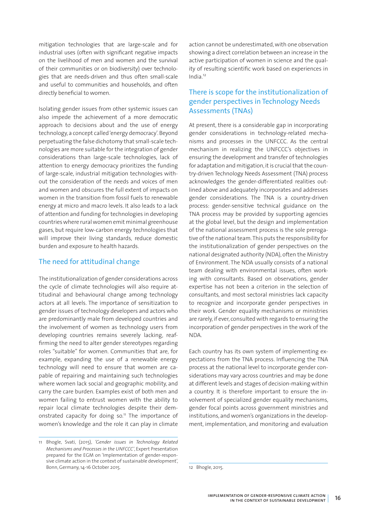mitigation technologies that are large-scale and for industrial uses (often with significant negative impacts on the livelihood of men and women and the survival of their communities or on biodiversity) over technologies that are needs-driven and thus often small-scale and useful to communities and households, and often directly beneficial to women.

Isolating gender issues from other systemic issues can also impede the achievement of a more democratic approach to decisions about and the use of energy technology, a concept called 'energy democracy'. Beyond perpetuating the false dichotomy that small-scale technologies are more suitable for the integration of gender considerations than large-scale technologies, lack of attention to energy democracy prioritizes the funding of large-scale, industrial mitigation technologies without the consideration of the needs and voices of men and women and obscures the full extent of impacts on women in the transition from fossil fuels to renewable energy at micro and macro levels. It also leads to a lack of attention and funding for technologies in developing countries where rural women emit minimal greenhouse gases, but require low-carbon energy technologies that will improve their living standards, reduce domestic burden and exposure to health hazards.

### The need for attitudinal change

The institutionalization of gender considerations across the cycle of climate technologies will also require attitudinal and behavioural change among technology actors at all levels. The importance of sensitization to gender issues of technology developers and actors who are predominantly male from developed countries and the involvement of women as technology users from developing countries remains severely lacking, reaffirming the need to alter gender stereotypes regarding roles "suitable" for women. Communities that are, for example, expanding the use of a renewable energy technology will need to ensure that women are capable of repairing and maintaining such technologies where women lack social and geographic mobility, and carry the care burden. Examples exist of both men and women failing to entrust women with the ability to repair local climate technologies despite their demonstrated capacity for doing so.<sup>11</sup> The importance of women's knowledge and the role it can play in climate

action cannot be underestimated, with one observation showing a direct correlation between an increase in the active participation of women in science and the quality of resulting scientific work based on experiences in India.12

# There is scope for the institutionalization of gender perspectives in Technology Needs Assessments (TNAs)

At present, there is a considerable gap in incorporating gender considerations in technology-related mechanisms and processes in the UNFCCC. As the central mechanism in realizing the UNFCCC's objectives in ensuring the development and transfer of technologies for adaptation and mitigation, it is crucial that the country-driven Technology Needs Assessment (TNA) process acknowledges the gender-differentiated realities outlined above and adequately incorporates and addresses gender considerations. The TNA is a country-driven process: gender-sensitive technical guidance on the TNA process may be provided by supporting agencies at the global level, but the design and implementation of the national assessment process is the sole prerogative of the national team. This puts the responsibility for the institutionalization of gender perspectives on the national designated authority (NDA), often the Ministry of Environment. The NDA usually consists of a national team dealing with environmental issues, often working with consultants. Based on observations, gender expertise has not been a criterion in the selection of consultants, and most sectoral ministries lack capacity to recognize and incorporate gender perspectives in their work. Gender equality mechanisms or ministries are rarely, if ever, consulted with regards to ensuring the incorporation of gender perspectives in the work of the NDA.

Each country has its own system of implementing expectations from the TNA process. Influencing the TNA process at the national level to incorporate gender considerations may vary across countries and may be done at different levels and stages of decision-making within a country. It is therefore important to ensure the involvement of specialized gender equality mechanisms, gender focal points across government ministries and institutions, and women's organizations in the development, implementation, and monitoring and evaluation

<sup>11</sup> Bhogle, Svati, (2015), *'Gender issues in Technology Related Mechanisms and Processes in the UNFCCC'*, Expert Presentation prepared for the EGM on 'Implementation of gender-responsive climate action in the context of sustainable development', Bonn, Germany, 14-16 October 2015.

<sup>12</sup> Bhogle, 2015.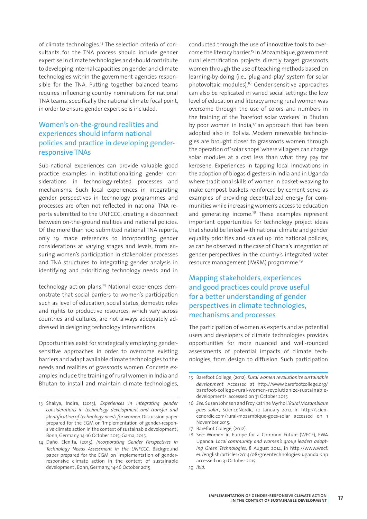of climate technologies.<sup>13</sup> The selection criteria of consultants for the TNA process should include gender expertise in climate technologies and should contribute to developing internal capacities on gender and climate technologies within the government agencies responsible for the TNA. Putting together balanced teams requires influencing country nominations for national TNA teams, specifically the national climate focal point, in order to ensure gender expertise is included.

# Women's on-the-ground realities and experiences should inform national policies and practice in developing genderresponsive TNAs

Sub-national experiences can provide valuable good practice examples in institutionalizing gender considerations in technology-related processes and mechanisms. Such local experiences in integrating gender perspectives in technology programmes and processes are often not reflected in national TNA reports submitted to the UNFCCC, creating a disconnect between on-the-ground realities and national policies. Of the more than 100 submitted national TNA reports, only 19 made references to incorporating gender considerations at varying stages and levels, from ensuring women's participation in stakeholder processes and TNA structures to integrating gender analysis in identifying and prioritizing technology needs and in

technology action plans.14 National experiences demonstrate that social barriers to women's participation such as level of education, social status, domestic roles and rights to productive resources, which vary across countries and cultures, are not always adequately addressed in designing technology interventions.

Opportunities exist for strategically employing gendersensitive approaches in order to overcome existing barriers and adapt available climate technologies to the needs and realities of grassroots women. Concrete examples include the training of rural women in India and Bhutan to install and maintain climate technologies,

conducted through the use of innovative tools to overcome the literacy barrier.<sup>15</sup> In Mozambique, government rural electrification projects directly target grassroots women through the use of teaching methods based on learning-by-doing (i.e., 'plug-and-play' system for solar photovoltaic modules).16 Gender-sensitive approaches can also be replicated in varied social settings: the low level of education and literacy among rural women was overcome through the use of colors and numbers in the training of the 'barefoot solar workers' in Bhutan by poor women in India, $17$  an approach that has been adopted also in Bolivia. Modern renewable technologies are brought closer to grassroots women through the operation of 'solar shops' where villagers can charge solar modules at a cost less than what they pay for kerosene. Experiences in tapping local innovations in the adoption of biogas digesters in India and in Uganda where traditional skills of women in basket-weaving to make compost baskets reinforced by cement serve as examples of providing decentralized energy for communities while increasing women's access to education and generating income.<sup>18</sup> These examples represent important opportunities for technology project ideas that should be linked with national climate and gender equality priorities and scaled up into national policies, as can be observed in the case of Ghana's integration of gender perspectives in the country's integrated water resource management (IWRM) programme.19

# Mapping stakeholders, experiences and good practices could prove useful for a better understanding of gender perspectives in climate technologies, mechanisms and processes

The participation of women as experts and as potential users and developers of climate technologies provides opportunities for more nuanced and well-rounded assessments of potential impacts of climate technologies, from design to diffusion. Such participation

<sup>13</sup> Shakya, Indira, (2015), *Experiences in integrating gender considerations in technology development and transfer and identification of technology needs for women.* Discussion paper prepared for the EGM on 'Implementation of gender-responsive climate action in the context of sustainable development', Bonn, Germany, 14-16 October 2015; Gama, 2015.

<sup>14</sup> Daño, Elenita, (2015), *Incorporating Gender Perspectives in Technology Needs Assessment in the UNFCCC*. Background paper prepared for the EGM on 'Implementation of genderresponsive climate action in the context of sustainable development', Bonn, Germany, 14-16 October 2015

<sup>15</sup> Barefoot College, (2012), *Rural women revolutionize sustainable development*. Accessed at http://www.barefootcollege.org/ barefoot-college-rural-women-revolutionize-sustainabledevelopment/. accessed on 31 October 2015

<sup>16</sup> *See:* Susan Johnsen and Froy Katrine Myrhol, '*Rural Mozambique goes solar*', ScienceNordic, 10 January 2012, in http://sciencenordic.com/rural-mozambique-goes-solar accessed on 1 November 2015.

<sup>17</sup> Barefoot College, (2012).

<sup>18</sup> See: Women in Europe for a Common Future (WECF), EWA Uganda: *Local community and women's group leaders adopting Green Technologies*, 8 August 2014, in http://www.wecf. eu/english/articles/2014/08/greentechnologies-uganda.php accessed on 31 October 2015.

<sup>19</sup> *Ibid*.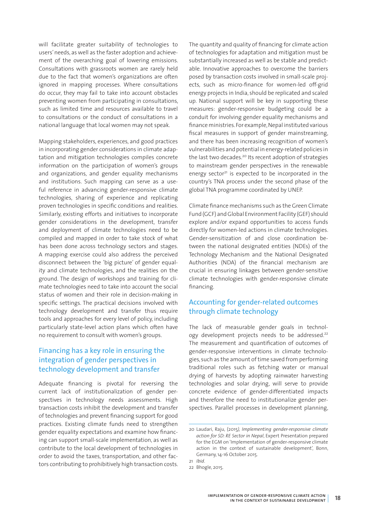will facilitate greater suitability of technologies to users' needs, as well as the faster adoption and achievement of the overarching goal of lowering emissions. Consultations with grassroots women are rarely held due to the fact that women's organizations are often ignored in mapping processes. Where consultations do occur, they may fail to take into account obstacles preventing women from participating in consultations, such as limited time and resources available to travel to consultations or the conduct of consultations in a national language that local women may not speak.

Mapping stakeholders, experiences, and good practices in incorporating gender considerations in climate adaptation and mitigation technologies compiles concrete information on the participation of women's groups and organizations, and gender equality mechanisms and institutions. Such mapping can serve as a useful reference in advancing gender-responsive climate technologies, sharing of experience and replicating proven technologies in specific conditions and realities. Similarly, existing efforts and initiatives to incorporate gender considerations in the development, transfer and deployment of climate technologies need to be compiled and mapped in order to take stock of what has been done across technology sectors and stages. A mapping exercise could also address the perceived disconnect between the 'big picture' of gender equality and climate technologies, and the realities on the ground. The design of workshops and training for climate technologies need to take into account the social status of women and their role in decision-making in specific settings. The practical decisions involved with technology development and transfer thus require tools and approaches for every level of policy, including particularly state-level action plans which often have no requirement to consult with women's groups.

# Financing has a key role in ensuring the integration of gender perspectives in technology development and transfer

Adequate financing is pivotal for reversing the current lack of institutionalization of gender perspectives in technology needs assessments. High transaction costs inhibit the development and transfer of technologies and prevent financing support for good practices. Existing climate funds need to strengthen gender equality expectations and examine how financing can support small-scale implementation, as well as contribute to the local development of technologies in order to avoid the taxes, transportation, and other factors contributing to prohibitively high transaction costs.

The quantity and quality of financing for climate action of technologies for adaptation and mitigation must be substantially increased as well as be stable and predictable. Innovative approaches to overcome the barriers posed by transaction costs involved in small-scale projects, such as micro-finance for women-led off-grid energy projects in India, should be replicated and scaled up. National support will be key in supporting these measures: gender-responsive budgeting could be a conduit for involving gender equality mechanisms and finance ministries. For example, Nepal instituted various fiscal measures in support of gender mainstreaming, and there has been increasing recognition of women's vulnerabilities and potential in energy-related policies in the last two decades.<sup>20</sup> Its recent adoption of strategies to mainstream gender perspectives in the renewable energy sector $21$  is expected to be incorporated in the country's TNA process under the second phase of the global TNA programme coordinated by UNEP.

Climate finance mechanisms such as the Green Climate Fund (GCF) and Global Environment Facility (GEF) should explore and/or expand opportunities to access funds directly for women-led actions in climate technologies. Gender-sensitization of and close coordination between the national designated entities (NDEs) of the Technology Mechanism and the National Designated Authorities (NDA) of the financial mechanism are crucial in ensuring linkages between gender-sensitive climate technologies with gender-responsive climate financing.

# Accounting for gender-related outcomes through climate technology

The lack of measurable gender goals in technology development projects needs to be addressed.<sup>22</sup> The measurement and quantification of outcomes of gender-responsive interventions in climate technologies, such as the amount of time saved from performing traditional roles such as fetching water or manual drying of harvests by adopting rainwater harvesting technologies and solar drying, will serve to provide concrete evidence of gender-differentiated impacts and therefore the need to institutionalize gender perspectives. Parallel processes in development planning,

<sup>20</sup> Laudari, Raju, (2015*), Implementing gender-responsive climate action for SD: RE Sector in Nepal*, Expert Presentation prepared for the EGM on 'Implementation of gender-responsive climate action in the context of sustainable development', Bonn, Germany, 14-16 October 2015.

<sup>21</sup> *Ibid*.

<sup>22</sup> Bhogle, 2015.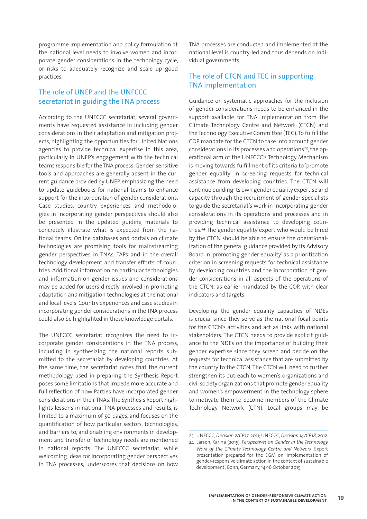programme implementation and policy formulation at the national level needs to involve women and incorporate gender considerations in the technology cycle, or risks to adequately recognize and scale up good practices.

# The role of UNEP and the UNFCCC secretariat in guiding the TNA process

According to the UNFCCC secretariat, several governments have requested assistance in including gender considerations in their adaptation and mitigation projects, highlighting the opportunities for United Nations agencies to provide technical expertise in this area, particularly in UNEP's engagement with the technical teams responsible for the TNA process. Gender-sensitive tools and approaches are generally absent in the current guidance provided by UNEP, emphasizing the need to update guidebooks for national teams to enhance support for the incorporation of gender considerations. Case studies, country experiences and methodologies in incorporating gender perspectives should also be presented in the updated guiding materials to concretely illustrate what is expected from the national teams. Online databases and portals on climate technologies are promising tools for mainstreaming gender perspectives in TNAs, TAPs and in the overall technology development and transfer efforts of countries. Additional information on particular technologies and information on gender issues and considerations may be added for users directly involved in promoting adaptation and mitigation technologies at the national and local levels. Country experiences and case studies in incorporating gender considerations in the TNA process could also be highlighted in these knowledge portals.

The UNFCCC secretariat recognizes the need to incorporate gender considerations in the TNA process, including in synthesizing the national reports submitted to the secretariat by developing countries. At the same time, the secretariat notes that the current methodology used in preparing the Synthesis Report poses some limitations that impede more accurate and full reflection of how Parties have incorporated gender considerations in their TNAs. The Synthesis Report highlights lessons in national TNA processes and results, is limited to a maximum of 50 pages, and focuses on the quantification of how particular sectors, technologies, and barriers to, and enabling environments in development and transfer of technology needs are mentioned in national reports. The UNFCCC secretariat, while welcoming ideas for incorporating gender perspectives in TNA processes, underscores that decisions on how

TNA processes are conducted and implemented at the national level is country-led and thus depends on individual governments.

## The role of CTCN and TEC in supporting TNA implementation

Guidance on systematic approaches for the inclusion of gender considerations needs to be enhanced in the support available for TNA implementation from the Climate Technology Centre and Network (CTCN) and the Technology Executive Committee (TEC). To fulfill the COP mandate for the CTCN to take into account gender considerations in its processes and operations<sup>23</sup>, the operational arm of the UNFCCC's Technology Mechanism is moving towards fulfillment of its criteria to 'promote gender equality' in screening requests for technical assistance from developing countries. The CTCN will continue building its own gender equality expertise and capacity through the recruitment of gender specialists to guide the secretariat's work in incorporating gender considerations in its operations and processes and in providing technical assistance to developing countries.<sup>24</sup> The gender equality expert who would be hired by the CTCN should be able to ensure the operationalization of the general guidance provided by its Advisory Board in 'promoting gender equality' as a prioritization criterion in screening requests for technical assistance by developing countries and the incorporation of gender considerations in all aspects of the operations of the CTCN, as earlier mandated by the COP, with clear indicators and targets.

Developing the gender equality capacities of NDEs is crucial since they serve as the national focal points for the CTCN's activities and act as links with national stakeholders. The CTCN needs to provide explicit guidance to the NDEs on the importance of building their gender expertise since they screen and decide on the requests for technical assistance that are submitted by the country to the CTCN. The CTCN will need to further strengthen its outreach to women's organizations and civil society organizations that promote gender equality and women's empowerment in the technology sphere to motivate them to become members of the Climate Technology Network (CTN). Local groups may be

<sup>23</sup> UNFCCC, *Decision 2/CP.17*, 2011; UNFCCC, *Decision 14/CP.18*, 2012.

<sup>24</sup> Larsen, Karina (2015), *Perspectives on Gender in the Technology Work of the Climate Technology Centre and Network*, Expert presentation prepared for the EGM on 'Implementation of gender-responsive climate action in the context of sustainable development', Bonn, Germany, 14-16 October 2015.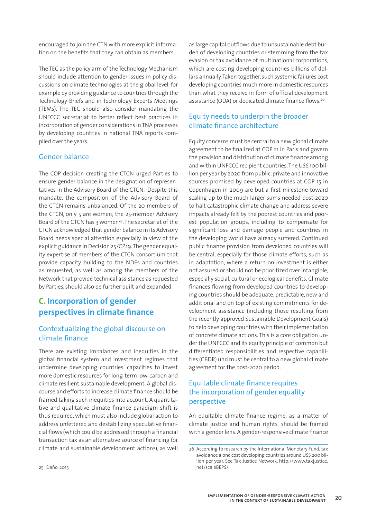encouraged to join the CTN with more explicit information on the benefits that they can obtain as members.

The TEC as the policy arm of the Technology Mechanism should include attention to gender issues in policy discussions on climate technologies at the global level, for example by providing guidance to countries through the Technology Briefs and in Technology Experts Meetings (TEMs). The TEC should also consider mandating the UNFCCC secretariat to better reflect best practices in incorporation of gender considerations in TNA processes by developing countries in national TNA reports compiled over the years.

## Gender balance

The COP decision creating the CTCN urged Parties to ensure gender balance in the designation of representatives in the Advisory Board of the CTCN. Despite this mandate, the composition of the Advisory Board of the CTCN remains unbalanced. Of the 20 members of the CTCN, only 5 are women; the 25-member Advisory Board of the CTCN has 3 women<sup>25</sup>. The secretariat of the CTCN acknowledged that gender balance in its Advisory Board needs special attention especially in view of the explicit guidance in Decision 25/CP.19. The gender equality expertise of members of the CTCN consortium that provide capacity building to the NDEs and countries as requested, as well as among the members of the Network that provide technical assistance as requested by Parties, should also be further built and expanded.

# **C. Incorporation of gender perspectives in climate finance**

## Contextualizing the global discourse on climate finance

There are existing imbalances and inequities in the global financial system and investment regimes that undermine developing countries' capacities to invest more domestic resources for long-term low-carbon and climate resilient sustainable development. A global discourse and efforts to increase climate finance should be framed taking such inequities into account. A quantitative and qualitative climate finance paradigm shift is thus required, which must also include global action to address unfettered and destabilizing speculative financial flows (which could be addressed through a financial transaction tax as an alternative source of financing for climate and sustainable development actions), as well

as large capital outflows due to unsustainable debt burden of developing countries or stemming from the tax evasion or tax avoidance of multinational corporations, which are costing developing countries billions of dollars annually. Taken together, such systemic failures cost developing countries much more in domestic resources than what they receive in form of official development assistance (ODA) or dedicated climate finance flows.<sup>26</sup>

# Equity needs to underpin the broader climate finance architecture

Equity concerns must be central to a new global climate agreement to be finalized at COP 21 in Paris and govern the provision and distribution of climate finance among and within UNFCCC recipient countries. The US\$ 100 billion per year by 2020 from public, private and innovative sources promised by developed countries at COP 15 in Copenhagen in 2009 are but a first milestone toward scaling up to the much larger sums needed post-2020 to halt catastrophic climate change and address severe impacts already felt by the poorest countries and poorest population groups, including to compensate for significant loss and damage people and countries in the developing world have already suffered. Continued public finance provision from developed countries will be central, especially for those climate efforts, such as in adaptation, where a return-on-investment is either not assured or should not be prioritized over intangible, especially social, cultural or ecological benefits. Climate finances flowing from developed countries to developing countries should be adequate, predictable, new and additional and on top of existing commitments for development assistance (including those resulting from the recently approved Sustainable Development Goals) to help developing countries with their implementation of concrete climate actions. This is a core obligation under the UNFCCC and its equity principle of common but differentiated responsibilities and respective capabilities (CBDR) und must be central to a new global climate agreement for the post-2020 period.

# Equitable climate finance requires the incorporation of gender equality perspective

An equitable climate finance regime, as a matter of climate justice and human rights, should be framed with a gender lens. A gender-responsive climate finance

<sup>26</sup> According to research by the International Monetary Fund, tax avoidance alone cost developing countries around US\$ 200 billion per year. See Tax Justice Network, http://www.taxjustice. net/scaleBEPS/.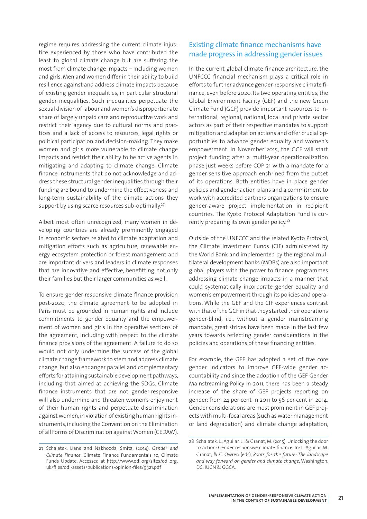regime requires addressing the current climate injustice experienced by those who have contributed the least to global climate change but are suffering the most from climate change impacts – including women and girls. Men and women differ in their ability to build resilience against and address climate impacts because of existing gender inequalities, in particular structural gender inequalities. Such inequalities perpetuate the sexual division of labour and women's disproportionate share of largely unpaid care and reproductive work and restrict their agency due to cultural norms and practices and a lack of access to resources, legal rights or political participation and decision-making. They make women and girls more vulnerable to climate change impacts and restrict their ability to be active agents in mitigating and adapting to climate change. Climate finance instruments that do not acknowledge and address these structural gender inequalities through their funding are bound to undermine the effectiveness and long-term sustainability of the climate actions they support by using scarce resources sub-optimally.<sup>27</sup>

Albeit most often unrecognized, many women in developing countries are already prominently engaged in economic sectors related to climate adaptation and mitigation efforts such as agriculture, renewable energy, ecosystem protection or forest management and are important drivers and leaders in climate responses that are innovative and effective, benefitting not only their families but their larger communities as well.

To ensure gender-responsive climate finance provision post-2020, the climate agreement to be adopted in Paris must be grounded in human rights and include commitments to gender equality and the empowerment of women and girls in the operative sections of the agreement, including with respect to the climate finance provisions of the agreement. A failure to do so would not only undermine the success of the global climate change framework to stem and address climate change, but also endanger parallel and complementary efforts for attaining sustainable development pathways, including that aimed at achieving the SDGs. Climate finance instruments that are not gender-responsive will also undermine and threaten women's enjoyment of their human rights and perpetuate discrimination against women, in violation of existing human rights instruments, including the Convention on the Elimination of all Forms of Discrimination against Women (CEDAW).

# Existing climate finance mechanisms have made progress in addressing gender issues

In the current global climate finance architecture, the UNFCCC financial mechanism plays a critical role in efforts to further advance gender-responsive climate finance, even before 2020. Its two operating entities, the Global Environment Facility (GEF) and the new Green Climate Fund (GCF) provide important resources to international, regional, national, local and private sector actors as part of their respective mandates to support mitigation and adaptation actions and offer crucial opportunities to advance gender equality and women's empowerment. In November 2015, the GCF will start project funding after a multi-year operationalization phase just weeks before COP 21 with a mandate for a gender-sensitive approach enshrined from the outset of its operations. Both entities have in place gender policies and gender action plans and a commitment to work with accredited partners organizations to ensure gender-aware project implementation in recipient countries. The Kyoto Protocol Adaptation Fund is currently preparing its own gender policy.<sup>28</sup>

Outside of the UNFCCC and the related Kyoto Protocol, the Climate Investment Funds (CIF) administered by the World Bank and implemented by the regional multilateral development banks (MDBs) are also important global players with the power to finance programmes addressing climate change impacts in a manner that could systematically incorporate gender equality and women's empowerment through its policies and operations. While the GEF and the CIF experiences contrast with that of the GCF in that they started their operations gender-blind, i.e., without a gender mainstreaming mandate, great strides have been made in the last few years towards reflecting gender considerations in the policies and operations of these financing entities.

For example, the GEF has adopted a set of five core gender indicators to improve GEF-wide gender accountability and since the adoption of the GEF Gender Mainstreaming Policy in 2011, there has been a steady increase of the share of GEF projects reporting on gender: from 24 per cent in 2011 to 56 per cent in 2014. Gender considerations are most prominent in GEF projects with multi-focal areas (such as water management or land degradation) and climate change adaptation,

<sup>27</sup> Schalatek, Liane and Nakhooda, Smita, (2014), *Gender and Climate Finance*. Climate Finance Fundamentals 10, Climate Funds Update. Accessed at http://www.odi.org/sites/odi.org. uk/files/odi-assets/publications-opinion-files/9321.pdf

<sup>28</sup> Schalatek, L., Aguilar, L., & Granat, M. (2015). Unlocking the door to action: Gender-responsive climate finance. In: L. Aguilar, M. Granat, & C. Owren (eds), *Roots for the future: The landscape and way forward on gender and climate change*. Washington, DC: IUCN & GGCA.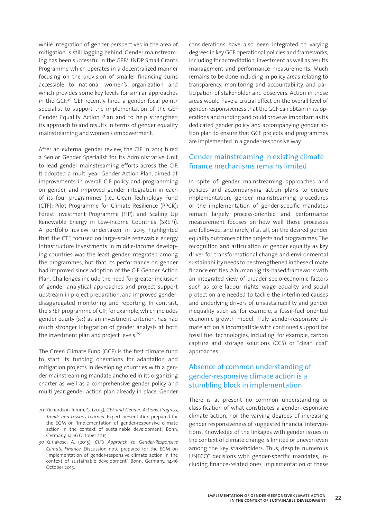while integration of gender perspectives in the area of mitigation is still lagging behind. Gender mainstreaming has been successful in the GEF/UNDP Small Grants Programme which operates in a decentralized manner focusing on the provision of smaller financing sums accessible to national women's organization and which provides some key levels for similar approaches in the GCF.29 GEF recently hired a gender focal point/ specialist to support the implementation of the GEF Gender Equality Action Plan and to help strengthen its approach to and results in terms of gender equality mainstreaming and women's empowerment.

After an external gender review, the CIF in 2014 hired a Senior Gender Specialist for its Administrative Unit to lead gender mainstreaming efforts across the CIF. It adopted a multi-year Gender Action Plan, aimed at improvements in overall CIF policy and programming on gender, and improved gender integration in each of its four programmes (i.e., Clean Technology Fund (CTF); Pilot Programme for Climate Resilience (PPCR); Forest Investment Programme (FIP); and Scaling Up Renewable Energy in Low-Income Countries (SREP)). A portfolio review undertaken in 2015 highlighted that the CTF, focused on large-scale renewable energy infrastructure investments in middle-income developing countries was the least gender-integrated among the programmes, but that its performance on gender had improved since adoption of the CIF Gender Action Plan. Challenges include the need for greater inclusion of gender analytical approaches and project support upstream in project preparation, and improved genderdisaggregated monitoring and reporting. In contrast, the SREP programme of CIF, for example, which includes gender equity (*sic*) as an investment criterion, has had much stronger integration of gender analysis at both the investment plan and project levels.<sup>30</sup>

The Green Climate Fund (GCF) is the first climate fund to start its funding operations for adaptation and mitigation projects in developing countries with a gender-mainstreaming mandate anchored in its organizing charter as well as a comprehensive gender policy and multi-year gender action plan already in place. Gender considerations have also been integrated to varying degrees in key GCF operational policies and frameworks, including for accreditation, investment as well as results management and performance measurements. Much remains to be done including in policy areas relating to transparency, monitoring and accountability, and participation of stakeholder and observers. Action in these areas would have a crucial effect on the overall level of gender-responsiveness that the GCF can obtain in its operations and funding and could prove as important as its dedicated gender policy and accompanying gender action plan to ensure that GCF projects and programmes are implemented in a gender-responsive way.

## Gender mainstreaming in existing climate finance mechanisms remains limited

In spite of gender mainstreaming approaches and policies and accompanying action plans to ensure implementation, gender mainstreaming procedures or the implementation of gender-specific mandates remain largely process-oriented and performance measurement focuses on how well those processes are followed, and rarely, if at all, on the desired gender equality outcomes of the projects and programmes. The recognition and articulation of gender equality as key driver for transformational change and environmental sustainability needs to be strengthened in these climate finance entities. A human rights-based framework with an integrated view of broader socio-economic factors such as core labour rights, wage equality and social protection are needed to tackle the interlinked causes and underlying drivers of unsustainability and gender inequality such as, for example, a fossil-fuel oriented economic growth model. Truly gender-responsive climate action is incompatible with continued support for fossil fuel technologies, including, for example, carbon capture and storage solutions (CCS) or "clean coal" approaches.

# Absence of common understanding of gender-responsive climate action is a stumbling block in implementation

There is at present no common understanding or classification of what constitutes a gender-responsive climate action, nor the varying degrees of increasing gender responsiveness of suggested financial interventions. Knowledge of the linkages with gender issues in the context of climate change is limited or uneven even among the key stakeholders. Thus, despite numerous UNFCCC decisions with gender-specific mandates, including finance-related ones, implementation of these

<sup>29</sup> Richardson Temm, G. (2015), *GEF and Gender: Actions, Progress, Trends and Lessons Learned*. Expert presentation prepared for the EGM on 'Implementation of gender-responsive climate action in the context of sustainable development', Bonn, Germany, 14-16 October 2015.

<sup>30</sup> Kuriakose, A. (2015). *CIF's Approach to Gender-Responsive Climate Finance*. Discussion note prepared for the EGM on 'Implementation of gender-responsive climate action in the context of sustainable development', Bonn, Germany, 14-16 October 2015.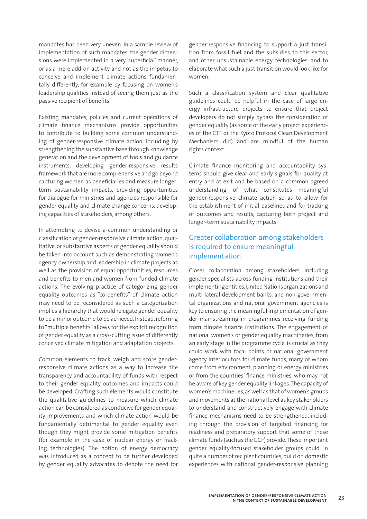mandates has been very uneven. In a sample review of implementation of such mandates, the gender dimensions were implemented in a very 'superficial' manner, or as a mere add-on activity and not as the impetus to conceive and implement climate actions fundamentally differently, for example by focusing on women's leadership qualities instead of seeing them just as the passive recipient of benefits.

Existing mandates, policies and current operations of climate finance mechanisms provide opportunities to contribute to building some common understanding of gender-responsive climate action, including by strengthening the substantive base through knowledge generation and the development of tools and guidance instruments, developing gender-responsive results framework that are more comprehensive and go beyond capturing women as beneficiaries and measure longerterm sustainability impacts, providing opportunities for dialogue for ministries and agencies responsible for gender equality and climate change concerns, developing capacities of stakeholders, among others.

In attempting to devise a common understanding or classification of gender-responsive climate action, qualitative, or substantive aspects of gender equality should be taken into account such as demonstrating women's agency, ownership and leadership in climate projects as well as the provision of equal opportunities, resources and benefits to men and women from funded climate actions. The evolving practice of categorizing gender equality outcomes as "co-benefits" of climate action may need to be reconsidered as such a categorization implies a hierarchy that would relegate gender equality to be a minor outcome to be achieved. Instead, referring to "multiple benefits" allows for the explicit recognition of gender equality as a cross-cutting issue of differently conceived climate mitigation and adaptation projects.

Common elements to track, weigh and score genderresponsive climate actions as a way to increase the transparency and accountability of funds with respect to their gender equality outcomes and impacts could be developed. Crafting such elements would constitute the qualitative guidelines to measure which climate action can be considered as conducive for gender equality improvements and which climate action would be fundamentally detrimental to gender equality even though they might provide some mitigation benefits (for example in the case of nuclear energy or fracking technologies). The notion of energy democracy was introduced as a concept to be further developed by gender equality advocates to denote the need for

gender-responsive financing to support a just transition from fossil fuel and the subsidies to this sector, and other unsustainable energy technologies, and to elaborate what such a just transition would look like for women.

Such a classification system and clear qualitative guidelines could be helpful in the case of large energy infrastructure projects to ensure that project developers do not simply bypass the consideration of gender equality (as some of the early project experiences of the CTF or the Kyoto Protocol Clean Development Mechanism did) and are mindful of the human rights context.

Climate finance monitoring and accountability systems should give clear and early signals for quality at entry and at exit and be based on a common agreed understanding of what constitutes meaningful gender-responsive climate action so as to allow for the establishment of initial baselines and for tracking of outcomes and results, capturing both project and longer-term sustainability impacts.

## Greater collaboration among stakeholders is required to ensure meaningful implementation

Closer collaboration among stakeholders, including gender specialists across funding institutions and their implementing entities, United Nations organizations and multi-lateral development banks, and non-governmental organizations and national government agencies is key to ensuring the meaningful implementation of gender mainstreaming in programmes receiving funding from climate finance institutions. The engagement of national women's or gender equality machineries, from an early stage in the programme cycle, is crucial as they could work with focal points or national government agency interlocutors for climate funds, many of whom come from environment, planning or energy ministries or from the countries' finance ministries, who may not be aware of key gender equality linkages. The capacity of women's machineries, as well as that of women's groups and movements at the national level as key stakeholders to understand and constructively engage with climate finance mechanisms need to be strengthened, including through the provision of targeted financing for readiness and preparatory support that some of these climate funds (such as the GCF) provide. These important gender equality-focused stakeholder groups could, in quite a number of recipient countries, build on domestic experiences with national gender-responsive planning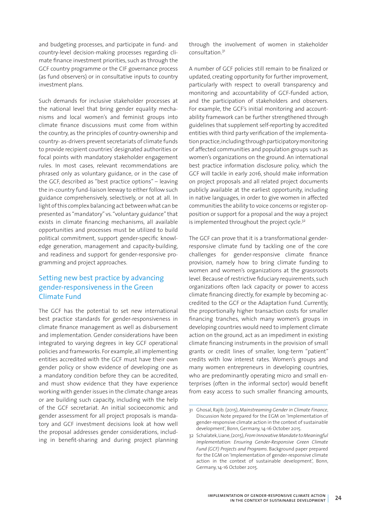and budgeting processes, and participate in fund- and country-level decision-making processes regarding climate finance investment priorities, such as through the GCF country programme or the CIF governance process (as fund observers) or in consultative inputs to country investment plans.

Such demands for inclusive stakeholder processes at the national level that bring gender equality mechanisms and local women's and feminist groups into climate finance discussions must come from within the country, as the principles of country-ownership and country- as-drivers prevent secretariats of climate funds to provide recipient countries' designated authorities or focal points with mandatory stakeholder engagement rules. In most cases, relevant recommendations are phrased only as voluntary guidance, or in the case of the GCF, described as "best practice options" – leaving the in-country fund-liaison leeway to either follow such guidance comprehensively, selectively, or not at all. In light of this complex balancing act between what can be presented as "mandatory" vs. "voluntary guidance" that exists in climate financing mechanisms, all available opportunities and processes must be utilized to build political commitment, support gender-specific knowledge generation, management and capacity-building, and readiness and support for gender-responsive programming and project approaches.

# Setting new best practice by advancing gender-responsiveness in the Green Climate Fund

The GCF has the potential to set new international best practice standards for gender-responsiveness in climate finance management as well as disbursement and implementation. Gender considerations have been integrated to varying degrees in key GCF operational policies and frameworks. For example, all implementing entities accredited with the GCF must have their own gender policy or show evidence of developing one as a mandatory condition before they can be accredited, and must show evidence that they have experience working with gender issues in the climate change areas or are building such capacity, including with the help of the GCF secretariat. An initial socioeconomic and gender assessment for all project proposals is mandatory and GCF investment decisions look at how well the proposal addresses gender considerations, including in benefit-sharing and during project planning

through the involvement of women in stakeholder consultation<sup>31</sup>

A number of GCF policies still remain to be finalized or updated, creating opportunity for further improvement, particularly with respect to overall transparency and monitoring and accountability of GCF-funded action, and the participation of stakeholders and observers. For example, the GCF's initial monitoring and accountability framework can be further strengthened through guidelines that supplement self-reporting by accredited entities with third party verification of the implementation practice, including through participatory monitoring of affected communities and population groups such as women's organizations on the ground. An international best practice information disclosure policy, which the GCF will tackle in early 2016, should make information on project proposals and all related project documents publicly available at the earliest opportunity, including in native languages, in order to give women in affected communities the ability to voice concerns or register opposition or support for a proposal and the way a project is implemented throughout the project cycle.<sup>32</sup>

The GCF can prove that it is a transformational genderresponsive climate fund by tackling one of the core challenges for gender-responsive climate finance provision, namely how to bring climate funding to women and women's organizations at the grassroots level. Because of restrictive fiduciary requirements, such organizations often lack capacity or power to access climate financing directly, for example by becoming accredited to the GCF or the Adaptation Fund. Currently, the proportionally higher transaction costs for smaller financing tranches, which many women's groups in developing countries would need to implement climate action on the ground, act as an impediment in existing climate financing instruments in the provision of small grants or credit lines of smaller, long-term "patient" credits with low interest rates. Women's groups and many women entrepreneurs in developing countries, who are predominantly operating micro and small enterprises (often in the informal sector) would benefit from easy access to such smaller financing amounts,

<sup>31</sup> Ghosal, Rajib. (2015), *Mainstreaming Gender in Climate Finance*, Discussion Note prepared for the EGM on 'Implementation of gender-responsive climate action in the context of sustainable development', Bonn, Germany, 14-16 October 2015.

<sup>32</sup> Schalatek, Liane, (2015), *From Innovative Mandate to Meaningful Implementation: Ensuring Gender-Responsive Green Climate Fund (GCF) Projects and Programs*. Background paper prepared for the EGM on 'Implementation of gender-responsive climate action in the context of sustainable development', Bonn, Germany, 14-16 October 2015.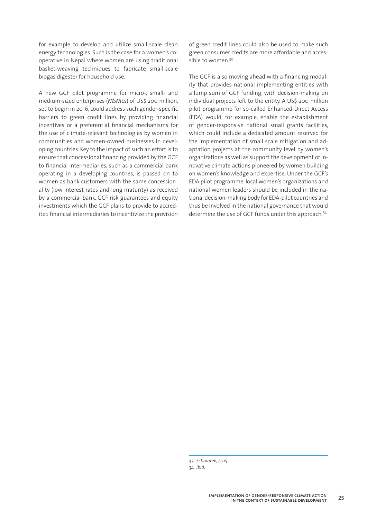for example to develop and utilize small-scale clean energy technologies. Such is the case for a women's cooperative in Nepal where women are using traditional basket-weaving techniques to fabricate small-scale biogas digester for household use.

A new GCF pilot programme for micro-, small- and medium-sized enterprises (MSMEs) of US\$ 200 million, set to begin in 2016, could address such gender-specific barriers to green credit lines by providing financial incentives or a preferential financial mechanisms for the use of climate-relevant technologies by women in communities and women-owned businesses in developing countries. Key to the impact of such an effort is to ensure that concessional financing provided by the GCF to financial intermediaries, such as a commercial bank operating in a developing countries, is passed on to women as bank customers with the same concessionality (low interest rates and long maturity) as received by a commercial bank. GCF risk guarantees and equity investments which the GCF plans to provide to accredited financial intermediaries to incentivize the provision of green credit lines could also be used to make such green consumer credits are more affordable and accessible to women.<sup>33</sup>

The GCF is also moving ahead with a financing modality that provides national implementing entities with a lump sum of GCF funding, with decision-making on individual projects left to the entity. A US\$ 200 million pilot programme for so-called Enhanced Direct Access (EDA) would, for example, enable the establishment of gender-responsive national small grants facilities, which could include a dedicated amount reserved for the implementation of small scale mitigation and adaptation projects at the community level by women's organizations as well as support the development of innovative climate actions pioneered by women building on women's knowledge and expertise. Under the GCF's EDA pilot programme, local women's organizations and national women leaders should be included in the national decision-making body for EDA-pilot countries and thus be involved in the national governance that would determine the use of GCF funds under this approach.34

33 *Schalatek, 2015* 34 *Ibid*.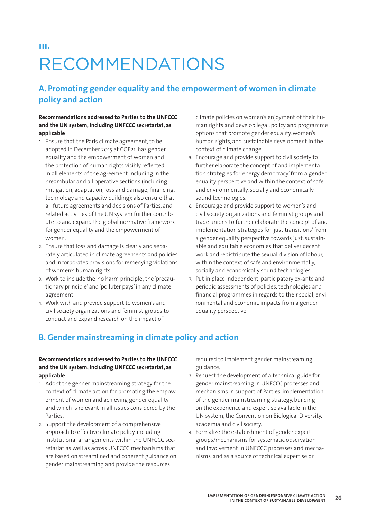# **iii.** RECOMMENDATIONS

# **A. Promoting gender equality and the empowerment of women in climate policy and action**

### **Recommendations addressed to Parties to the UNFCCC and the UN system, including UNFCCC secretariat, as applicable**

- 1. Ensure that the Paris climate agreement, to be adopted in December 2015 at COP21, has gender equality and the empowerment of women and the protection of human rights visibly reflected in all elements of the agreement including in the preambular and all operative sections (including mitigation, adaptation, loss and damage, financing, technology and capacity building); also ensure that all future agreements and decisions of Parties, and related activities of the UN system further contribute to and expand the global normative framework for gender equality and the empowerment of women.
- 2. Ensure that loss and damage is clearly and separately articulated in climate agreements and policies and incorporates provisions for remedying violations of women's human rights.
- 3. Work to include the 'no harm principle', the 'precautionary principle' and 'polluter pays' in any climate agreement.
- 4. Work with and provide support to women's and civil society organizations and feminist groups to conduct and expand research on the impact of

climate policies on women's enjoyment of their human rights and develop legal, policy and programme options that promote gender equality, women's human rights, and sustainable development in the context of climate change.

- 5. Encourage and provide support to civil society to further elaborate the concept of and implementation strategies for 'energy democracy' from a gender equality perspective and within the context of safe and environmentally, socially and economically sound technologies. .
- 6. Encourage and provide support to women's and civil society organizations and feminist groups and trade unions to further elaborate the concept of and implementation strategies for 'just transitions' from a gender equality perspective towards just, sustainable and equitable economies that deliver decent work and redistribute the sexual division of labour, within the context of safe and environmentally, socially and economically sound technologies.
- 7. Put in place independent, participatory ex-ante and periodic assessments of policies, technologies and financial programmes in regards to their social, environmental and economic impacts from a gender equality perspective.

# **B. Gender mainstreaming in climate policy and action**

### **Recommendations addressed to Parties to the UNFCCC and the UN system, including UNFCCC secretariat, as applicable**

- 1. Adopt the gender mainstreaming strategy for the context of climate action for promoting the empowerment of women and achieving gender equality and which is relevant in all issues considered by the Parties.
- 2. Support the development of a comprehensive approach to effective climate policy, including institutional arrangements within the UNFCCC secretariat as well as across UNFCCC mechanisms that are based on streamlined and coherent guidance on gender mainstreaming and provide the resources

required to implement gender mainstreaming guidance.

- 3. Request the development of a technical guide for gender mainstreaming in UNFCCC processes and mechanisms in support of Parties' implementation of the gender mainstreaming strategy, building on the experience and expertise available in the UN system, the Convention on Biological Diversity, academia and civil society.
- 4. Formalize the establishment of gender expert groups/mechanisms for systematic observation and involvement in UNFCCC processes and mechanisms, and as a source of technical expertise on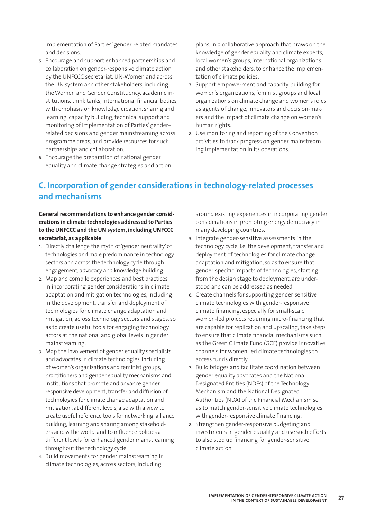implementation of Parties' gender-related mandates and decisions.

- 5. Encourage and support enhanced partnerships and collaboration on gender-responsive climate action by the UNFCCC secretariat, UN-Women and across the UN system and other stakeholders, including the Women and Gender Constituency, academic institutions, think tanks, international financial bodies, with emphasis on knowledge creation, sharing and learning, capacity building, technical support and monitoring of implementation of Parties' gender– related decisions and gender mainstreaming across programme areas, and provide resources for such partnerships and collaboration.
- 6. Encourage the preparation of national gender equality and climate change strategies and action

plans, in a collaborative approach that draws on the knowledge of gender equality and climate experts, local women's groups, international organizations and other stakeholders, to enhance the implementation of climate policies.

- 7. Support empowerment and capacity-building for women's organizations, feminist groups and local organizations on climate change and women's roles as agents of change, innovators and decision-makers and the impact of climate change on women's human rights.
- 8. Use monitoring and reporting of the Convention activities to track progress on gender mainstreaming implementation in its operations.

# **C. Incorporation of gender considerations in technology-related processes and mechanisms**

**General recommendations to enhance gender considerations in climate technologies addressed to Parties to the UNFCCC and the UN system, including UNFCCC secretariat, as applicable**

- 1. Directly challenge the myth of 'gender neutrality' of technologies and male predominance in technology sectors and across the technology cycle through engagement, advocacy and knowledge building.
- 2. Map and compile experiences and best practices in incorporating gender considerations in climate adaptation and mitigation technologies, including in the development, transfer and deployment of technologies for climate change adaptation and mitigation, across technology sectors and stages, so as to create useful tools for engaging technology actors at the national and global levels in gender mainstreaming.
- 3. Map the involvement of gender equality specialists and advocates in climate technologies, including of women's organizations and feminist groups, practitioners and gender equality mechanisms and institutions that promote and advance genderresponsive development, transfer and diffusion of technologies for climate change adaptation and mitigation, at different levels, also with a view to create useful reference tools for networking, alliance building, learning and sharing among stakeholders across the world, and to influence policies at different levels for enhanced gender mainstreaming throughout the technology cycle.
- 4. Build movements for gender mainstreaming in climate technologies, across sectors, including

around existing experiences in incorporating gender considerations in promoting energy democracy in many developing countries.

- 5. Integrate gender-sensitive assessments in the technology cycle, i.e. the development, transfer and deployment of technologies for climate change adaptation and mitigation, so as to ensure that gender-specific impacts of technologies, starting from the design stage to deployment, are understood and can be addressed as needed.
- 6. Create channels for supporting gender-sensitive climate technologies with gender-responsive climate financing, especially for small-scale women-led projects requiring micro-financing that are capable for replication and upscaling; take steps to ensure that climate financial mechanisms such as the Green Climate Fund (GCF) provide innovative channels for women-led climate technologies to access funds directly.
- 7. Build bridges and facilitate coordination between gender equality advocates and the National Designated Entities (NDEs) of the Technology Mechanism and the National Designated Authorities (NDA) of the Financial Mechanism so as to match gender-sensitive climate technologies with gender-responsive climate financing.
- 8. Strengthen gender-responsive budgeting and investments in gender equality and use such efforts to also step up financing for gender-sensitive climate action.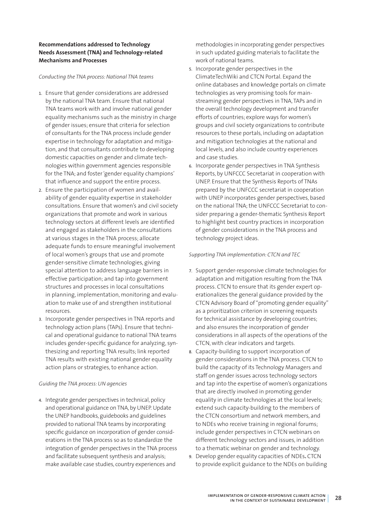### **Recommendations addressed to Technology Needs Assessment (TNA) and Technology-related Mechanisms and Processes**

#### *Conducting the TNA process: National TNA teams*

- 1. Ensure that gender considerations are addressed by the national TNA team. Ensure that national TNA teams work with and involve national gender equality mechanisms such as the ministry in charge of gender issues; ensure that criteria for selection of consultants for the TNA process include gender expertise in technology for adaptation and mitigation, and that consultants contribute to developing domestic capacities on gender and climate technologies within government agencies responsible for the TNA; and foster 'gender equality champions' that influence and support the entire process.
- 2. Ensure the participation of women and availability of gender equality expertise in stakeholder consultations. Ensure that women's and civil society organizations that promote and work in various technology sectors at different levels are identified and engaged as stakeholders in the consultations at various stages in the TNA process; allocate adequate funds to ensure meaningful involvement of local women's groups that use and promote gender-sensitive climate technologies, giving special attention to address language barriers in effective participation; and tap into government structures and processes in local consultations in planning, implementation, monitoring and evaluation to make use of and strengthen institutional resources.
- 3. Incorporate gender perspectives in TNA reports and technology action plans (TAPs). Ensure that technical and operational guidance to national TNA teams includes gender-specific guidance for analyzing, synthesizing and reporting TNA results; link reported TNA results with existing national gender equality action plans or strategies, to enhance action.

#### *Guiding the TNA process: UN agencies*

4. Integrate gender perspectives in technical, policy and operational guidance on TNA, by UNEP. Update the UNEP handbooks, guidebooks and guidelines provided to national TNA teams by incorporating specific guidance on incorporation of gender considerations in the TNA process so as to standardize the integration of gender perspectives in the TNA process and facilitate subsequent synthesis and analysis; make available case studies, country experiences and

methodologies in incorporating gender perspectives in such updated guiding materials to facilitate the work of national teams.

- 5. Incorporate gender perspectives in the ClimateTechWiki and CTCN Portal. Expand the online databases and knowledge portals on climate technologies as very promising tools for mainstreaming gender perspectives in TNA, TAPs and in the overall technology development and transfer efforts of countries; explore ways for women's groups and civil society organizations to contribute resources to these portals, including on adaptation and mitigation technologies at the national and local levels, and also include country experiences and case studies.
- 6. Incorporate gender perspectives in TNA Synthesis Reports, by UNFCCC Secretariat in cooperation with UNEP. Ensure that the Synthesis Reports of TNAs prepared by the UNFCCC secretariat in cooperation with UNEP incorporates gender perspectives, based on the national TNA; the UNFCCC Secretariat to consider preparing a gender-thematic Synthesis Report to highlight best country practices in incorporation of gender considerations in the TNA process and technology project ideas.

#### *Supporting TNA implementation: CTCN and TEC*

- 7. Support gender-responsive climate technologies for adaptation and mitigation resulting from the TNA process. CTCN to ensure that its gender expert operationalizes the general guidance provided by the CTCN Advisory Board of "promoting gender equality" as a prioritization criterion in screening requests for technical assistance by developing countries; and also ensures the incorporation of gender considerations in all aspects of the operations of the CTCN, with clear indicators and targets.
- 8. Capacity-building to support incorporation of gender considerations in the TNA process. CTCN to build the capacity of its Technology Managers and staff on gender issues across technology sectors and tap into the expertise of women's organizations that are directly involved in promoting gender equality in climate technologies at the local levels; extend such capacity-building to the members of the CTCN consortium and network members, and to NDEs who receive training in regional forums; include gender perspectives in CTCN webinars on different technology sectors and issues, in addition to a thematic webinar on gender and technology.
- 9. Develop gender equality capacities of NDEs**.** CTCN to provide explicit guidance to the NDEs on building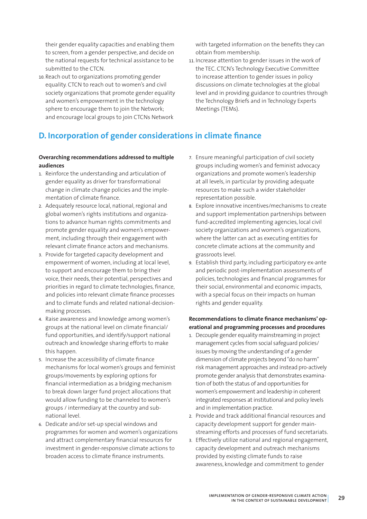their gender equality capacities and enabling them to screen, from a gender perspective, and decide on the national requests for technical assistance to be submitted to the CTCN.

10. Reach out to organizations promoting gender equality. CTCN to reach out to women's and civil society organizations that promote gender equality and women's empowerment in the technology sphere to encourage them to join the Network; and encourage local groups to join CTCNs Network

with targeted information on the benefits they can obtain from membership.

11. Increase attention to gender issues in the work of the TEC. CTCN's Technology Executive Committee to increase attention to gender issues in policy discussions on climate technologies at the global level and in providing guidance to countries through the Technology Briefs and in Technology Experts Meetings (TEMs).

# **D. Incorporation of gender considerations in climate finance**

### **Overarching recommendations addressed to multiple audiences**

- 1. Reinforce the understanding and articulation of gender equality as driver for transformational change in climate change policies and the implementation of climate finance.
- 2. Adequately resource local, national, regional and global women's rights institutions and organizations to advance human rights commitments and promote gender equality and women's empowerment, including through their engagement with relevant climate finance actors and mechanisms.
- 3. Provide for targeted capacity development and empowerment of women, including at local level, to support and encourage them to bring their voice, their needs, their potential, perspectives and priorities in regard to climate technologies, finance, and policies into relevant climate finance processes and to climate funds and related national-decisionmaking processes.
- 4. Raise awareness and knowledge among women's groups at the national level on climate financial/ fund opportunities, and identify/support national outreach and knowledge sharing efforts to make this happen.
- 5. Increase the accessibility of climate finance mechanisms for local women's groups and feminist groups/movements by exploring options for financial intermediation as a bridging mechanism to break down larger fund project allocations that would allow funding to be channeled to women's groups / intermediary at the country and subnational level.
- 6. Dedicate and/or set-up special windows and programmes for women and women's organizations and attract complementary financial resources for investment in gender-responsive climate actions to broaden access to climate finance instruments.
- 7. Ensure meaningful participation of civil society groups including women's and feminist advocacy organizations and promote women's leadership at all levels, in particular by providing adequate resources to make such a wider stakeholder representation possible.
- 8. Explore innovative incentives/mechanisms to create and support implementation partnerships between fund-accredited implementing agencies, local civil society organizations and women's organizations, where the latter can act as executing entities for concrete climate actions at the community and grassroots level.
- 9. Establish third party, including participatory ex-ante and periodic post-implementation assessments of policies, technologies and financial programmes for their social, environmental and economic impacts, with a special focus on their impacts on human rights and gender equality.

### **Recommendations to climate finance mechanisms' operational and programming processes and procedures**

- 1. Decouple gender equality mainstreaming in project management cycles from social safeguard policies/ issues by moving the understanding of a gender dimension of climate projects beyond "do no harm" risk management approaches and instead pro-actively promote gender analysis that demonstrates examination of both the status of and opportunities for women's empowerment and leadership in coherent integrated responses at institutional and policy levels and in implementation practice.
- 2. Provide and track additional financial resources and capacity development support for gender mainstreaming efforts and processes of fund secretariats.
- 3. Effectively utilize national and regional engagement, capacity development and outreach mechanisms provided by existing climate funds to raise awareness, knowledge and commitment to gender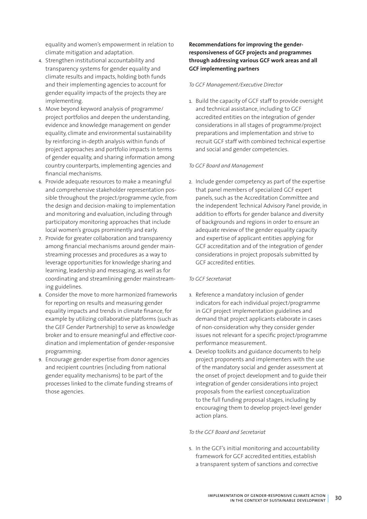equality and women's empowerment in relation to climate mitigation and adaptation.

- 4. Strengthen institutional accountability and transparency systems for gender equality and climate results and impacts, holding both funds and their implementing agencies to account for gender equality impacts of the projects they are implementing.
- 5. Move beyond keyword analysis of programme/ project portfolios and deepen the understanding, evidence and knowledge management on gender equality, climate and environmental sustainability by reinforcing in-depth analysis within funds of project approaches and portfolio impacts in terms of gender equality, and sharing information among country counterparts, implementing agencies and financial mechanisms.
- 6. Provide adequate resources to make a meaningful and comprehensive stakeholder representation possible throughout the project/programme cycle, from the design and decision-making to implementation and monitoring and evaluation, including through participatory monitoring approaches that include local women's groups prominently and early.
- 7. Provide for greater collaboration and transparency among financial mechanisms around gender mainstreaming processes and procedures as a way to leverage opportunities for knowledge sharing and learning, leadership and messaging, as well as for coordinating and streamlining gender mainstreaming guidelines.
- 8. Consider the move to more harmonized frameworks for reporting on results and measuring gender equality impacts and trends in climate finance, for example by utilizing collaborative platforms (such as the GEF Gender Partnership) to serve as knowledge broker and to ensure meaningful and effective coordination and implementation of gender-responsive programming.
- 9. Encourage gender expertise from donor agencies and recipient countries (including from national gender equality mechanisms) to be part of the processes linked to the climate funding streams of those agencies.

### **Recommendations for improving the genderresponsiveness of GCF projects and programmes through addressing various GCF work areas and all GCF implementing partners**

#### *To GCF Management/Executive Director*

1. Build the capacity of GCF staff to provide oversight and technical assistance, including to GCF accredited entities on the integration of gender considerations in all stages of programme/project preparations and implementation and strive to recruit GCF staff with combined technical expertise and social and gender competencies.

#### *To GCF Board and Management*

2. Include gender competency as part of the expertise that panel members of specialized GCF expert panels, such as the Accreditation Committee and the independent Technical Advisory Panel provide, in addition to efforts for gender balance and diversity of backgrounds and regions in order to ensure an adequate review of the gender equality capacity and expertise of applicant entities applying for GCF accreditation and of the integration of gender considerations in project proposals submitted by GCF accredited entities.

#### *To GCF Secretariat*

- 3. Reference a mandatory inclusion of gender indicators for each individual project/programme in GCF project implementation guidelines and demand that project applicants elaborate in cases of non-consideration why they consider gender issues not relevant for a specific project/programme performance measurement.
- 4. Develop toolkits and guidance documents to help project proponents and implementers with the use of the mandatory social and gender assessment at the onset of project development and to guide their integration of gender considerations into project proposals from the earliest conceptualization to the full funding proposal stages, including by encouraging them to develop project-level gender action plans.

#### *To the GCF Board and Secretariat*

5. In the GCF's initial monitoring and accountability framework for GCF accredited entities, establish a transparent system of sanctions and corrective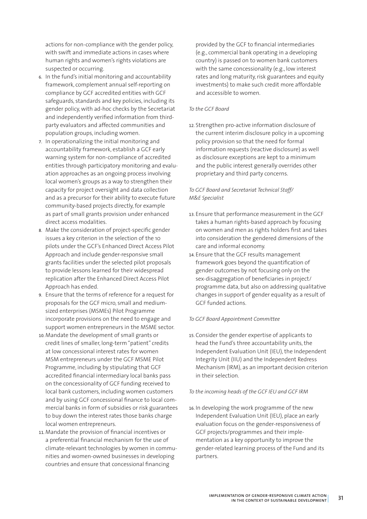actions for non-compliance with the gender policy, with swift and immediate actions in cases where human rights and women's rights violations are suspected or occurring.

- 6. In the fund's initial monitoring and accountability framework, complement annual self-reporting on compliance by GCF accredited entities with GCF safeguards, standards and key policies, including its gender policy, with ad-hoc checks by the Secretariat and independently verified information from thirdparty evaluators and affected communities and population groups, including women.
- 7. In operationalizing the initial monitoring and accountability framework, establish a GCF early warning system for non-compliance of accredited entities through participatory monitoring and evaluation approaches as an ongoing process involving local women's groups as a way to strengthen their capacity for project oversight and data collection and as a precursor for their ability to execute future community-based projects directly, for example as part of small grants provision under enhanced direct access modalities.
- 8. Make the consideration of project-specific gender issues a key criterion in the selection of the 10 pilots under the GCF's Enhanced Direct Access Pilot Approach and include gender-responsive small grants facilities under the selected pilot proposals to provide lessons learned for their widespread replication after the Enhanced Direct Access Pilot Approach has ended.
- 9. Ensure that the terms of reference for a request for proposals for the GCF micro, small and mediumsized enterprises (MSMEs) Pilot Programme incorporate provisions on the need to engage and support women entrepreneurs in the MSME sector.
- 10. Mandate the development of small grants or credit lines of smaller, long-term "patient" credits at low concessional interest rates for women MSM entrepreneurs under the GCF MSME Pilot Programme, including by stipulating that GCF accredited financial intermediary local banks pass on the concessionality of GCF funding received to local bank customers, including women customers and by using GCF concessional finance to local commercial banks in form of subsidies or risk guarantees to buy down the interest rates those banks charge local women entrepreneurs.
- 11. Mandate the provision of financial incentives or a preferential financial mechanism for the use of climate-relevant technologies by women in communities and women-owned businesses in developing countries and ensure that concessional financing

provided by the GCF to financial intermediaries (e.g., commercial bank operating in a developing country) is passed on to women bank customers with the same concessionality (e.g., low interest rates and long maturity, risk guarantees and equity investments) to make such credit more affordable and accessible to women.

### *To the GCF Board*

12. Strengthen pro-active information disclosure of the current interim disclosure policy in a upcoming policy provision so that the need for formal information requests (reactive disclosure) as well as disclosure exceptions are kept to a minimum and the public interest generally overrides other proprietary and third party concerns.

### *To GCF Board and Secretariat Technical Staff/ M&E Specialist*

- 13. Ensure that performance measurement in the GCF takes a human rights-based approach by focusing on women and men as rights holders first and takes into consideration the gendered dimensions of the care and informal economy.
- 14. Ensure that the GCF results management framework goes beyond the quantification of gender outcomes by not focusing only on the sex-disaggregation of beneficiaries in project/ programme data, but also on addressing qualitative changes in support of gender equality as a result of GCF funded actions.

### *To GCF Board Appointment Committee*

15. Consider the gender expertise of applicants to head the Fund's three accountability units, the Independent Evaluation Unit (IEU), the Independent Integrity Unit (IIU) and the Independent Redress Mechanism (IRM), as an important decision criterion in their selection.

### *To the incoming heads of the GCF IEU and GCF IRM*

16. In developing the work programme of the new Independent Evaluation Unit (IEU), place an early evaluation focus on the gender-responsiveness of GCF projects/programmes and their implementation as a key opportunity to improve the gender-related learning process of the Fund and its partners.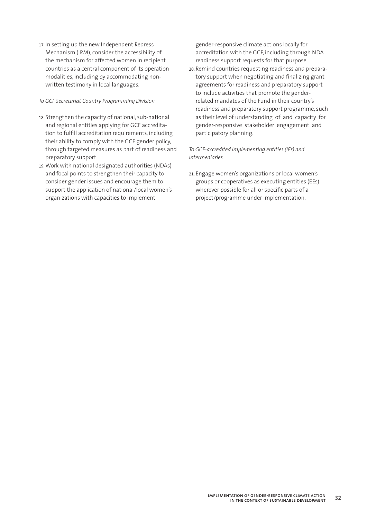17. In setting up the new Independent Redress Mechanism (IRM), consider the accessibility of the mechanism for affected women in recipient countries as a central component of its operation modalities, including by accommodating nonwritten testimony in local languages.

#### *To GCF Secretariat Country Programming Division*

- 18. Strengthen the capacity of national, sub-national and regional entities applying for GCF accreditation to fulfill accreditation requirements, including their ability to comply with the GCF gender policy, through targeted measures as part of readiness and preparatory support.
- 19. Work with national designated authorities (NDAs) and focal points to strengthen their capacity to consider gender issues and encourage them to support the application of national/local women's organizations with capacities to implement

gender-responsive climate actions locally for accreditation with the GCF, including through NDA readiness support requests for that purpose.

20. Remind countries requesting readiness and preparatory support when negotiating and finalizing grant agreements for readiness and preparatory support to include activities that promote the genderrelated mandates of the Fund in their country's readiness and preparatory support programme, such as their level of understanding of and capacity for gender-responsive stakeholder engagement and participatory planning.

### *To GCF-accredited implementing entities (IEs) and intermediaries*

21. Engage women's organizations or local women's groups or cooperatives as executing entities (EEs) wherever possible for all or specific parts of a project/programme under implementation.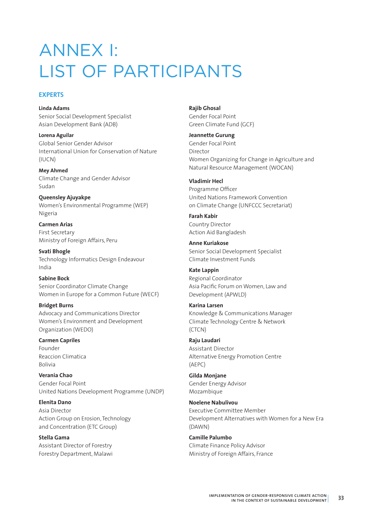# ANNEX I: LIST OF PARTICIPANTS

### **EXPERTS**

**Linda Adams** Senior Social Development Specialist Asian Development Bank (ADB)

**Lorena Aguilar** Global Senior Gender Advisor International Union for Conservation of Nature (IUCN)

**Mey Ahmed** Climate Change and Gender Advisor Sudan

**Queensley Ajuyakpe** Women's Environmental Programme (WEP) Nigeria

**Carmen Arias** First Secretary Ministry of Foreign Affairs, Peru

**Svati Bhogle** Technology Informatics Design Endeavour India

**Sabine Bock** Senior Coordinator Climate Change Women in Europe for a Common Future (WECF)

**Bridget Burns** Advocacy and Communications Director Women's Environment and Development Organization (WEDO)

**Carmen Capriles** Founder Reaccion Climatica Bolivia

**Verania Chao** Gender Focal Point United Nations Development Programme (UNDP)

**Elenita Dano** Asia Director Action Group on Erosion, Technology and Concentration (ETC Group)

**Stella Gama** Assistant Director of Forestry Forestry Department, Malawi **Rajib Ghosal** Gender Focal Point Green Climate Fund (GCF)

**Jeannette Gurung** Gender Focal Point Director Women Organizing for Change in Agriculture and Natural Resource Management (WOCAN)

**Vladimir Hecl**  Programme Officer United Nations Framework Convention on Climate Change (UNFCCC Secretariat)

**Farah Kabir** Country Director Action Aid Bangladesh

**Anne Kuriakose** Senior Social Development Specialist Climate Investment Funds

**Kate Lappin** Regional Coordinator Asia Pacific Forum on Women, Law and Development (APWLD)

**Karina Larsen** Knowledge & Communications Manager Climate Technology Centre & Network (CTCN)

**Raju Laudari**  Assistant Director Alternative Energy Promotion Centre (AEPC)

**Gilda Monjane**  Gender Energy Advisor Mozambique

**Noelene Nabulivou** Executive Committee Member Development Alternatives with Women for a New Era (DAWN)

**Camille Palumbo** Climate Finance Policy Advisor Ministry of Foreign Affairs, France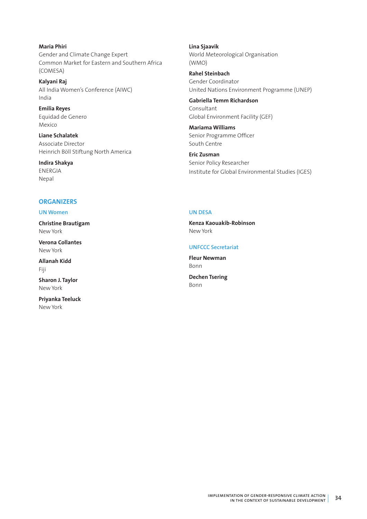**Maria Phiri** Gender and Climate Change Expert Common Market for Eastern and Southern Africa (COMESA)

**Kalyani Raj** All India Women's Conference (AIWC) India

**Emilia Reyes** Equidad de Genero Mexico

**Liane Schalatek**  Associate Director Heinrich Böll Stiftung North America

**Indira Shakya**  ENERGIA Nepal

## **Lina Sjaavik** World Meteorological Organisation (WMO)

**Rahel Steinbach** Gender Coordinator United Nations Environment Programme (UNEP)

**Gabriella Temm Richardson**  Consultant Global Environment Facility (GEF)

**Mariama Williams** Senior Programme Officer South Centre

**Eric Zusman**  Senior Policy Researcher Institute for Global Environmental Studies (IGES)

# **ORGANIZERS**

### **UN Women**

**Christine Brautigam** New York

**Verona Collantes** New York

**Allanah Kidd** Fiji

**Sharon J. Taylor** New York

**Priyanka Teeluck** New York

### **UN DESA**

**Kenza Kaouakib-Robinson**  New York

### **UNFCCC Secretariat**

**Fleur Newman** Bonn

**Dechen Tsering**  Bonn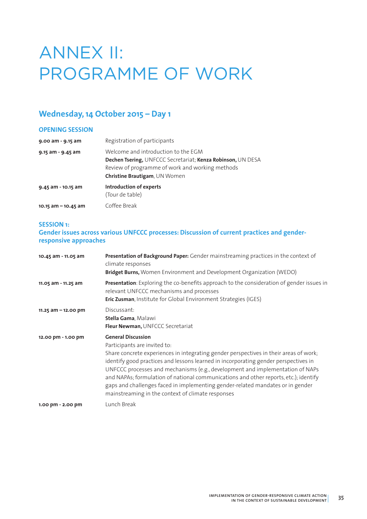# ANNEX II: PROGRAMME OF WORK

# **Wednesday, 14 October 2015 – Day 1**

### **OPENING SESSION**

| 9.00 am - 9.15 am      | Registration of participants                                                                                                                                                           |
|------------------------|----------------------------------------------------------------------------------------------------------------------------------------------------------------------------------------|
| 9.15 am - 9.45 am      | Welcome and introduction to the EGM<br>Dechen Tsering, UNFCCC Secretariat; Kenza Robinson, UN DESA<br>Review of programme of work and working methods<br>Christine Brautigam, UN Women |
| 9.45 am - 10.15 am     | Introduction of experts<br>(Tour de table)                                                                                                                                             |
| $10.15$ am $-10.45$ am | Coffee Break                                                                                                                                                                           |

#### **SESSION 1:**

## **Gender issues across various UNFCCC processes: Discussion of current practices and genderresponsive approaches**

| 10.45 am - 11.05 am    | Presentation of Background Paper: Gender mainstreaming practices in the context of<br>climate responses<br>Bridget Burns, Women Environment and Development Organization (WEDO)                                                                                                                                                                                                                                                                                                                                                                           |
|------------------------|-----------------------------------------------------------------------------------------------------------------------------------------------------------------------------------------------------------------------------------------------------------------------------------------------------------------------------------------------------------------------------------------------------------------------------------------------------------------------------------------------------------------------------------------------------------|
| 11.05 am - 11.25 am    | Presentation: Exploring the co-benefits approach to the consideration of gender issues in<br>relevant UNFCCC mechanisms and processes<br>Eric Zusman, Institute for Global Environment Strategies (IGES)                                                                                                                                                                                                                                                                                                                                                  |
| $11.25$ am $-12.00$ pm | Discussant:<br>Stella Gama, Malawi<br>Fleur Newman, UNFCCC Secretariat                                                                                                                                                                                                                                                                                                                                                                                                                                                                                    |
| 12.00 pm - 1.00 pm     | <b>General Discussion</b><br>Participants are invited to:<br>Share concrete experiences in integrating gender perspectives in their areas of work;<br>identify good practices and lessons learned in incorporating gender perspectives in<br>UNFCCC processes and mechanisms (e.g., development and implementation of NAPs<br>and NAPAs; formulation of national communications and other reports, etc.); identify<br>gaps and challenges faced in implementing gender-related mandates or in gender<br>mainstreaming in the context of climate responses |
| 1.00 pm - 2.00 pm      | Lunch Break                                                                                                                                                                                                                                                                                                                                                                                                                                                                                                                                               |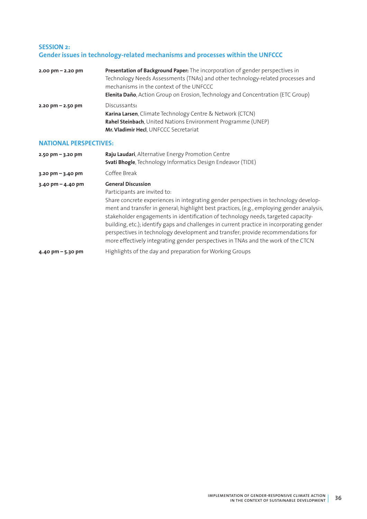### **SESSION 2: Gender issues in technology-related mechanisms and processes within the UNFCCC**

| $2.00 \text{ pm} - 2.20 \text{ pm}$ | Presentation of Background Paper: The incorporation of gender perspectives in<br>Technology Needs Assessments (TNAs) and other technology-related processes and<br>mechanisms in the context of the UNFCCC<br><b>Elenita Daño</b> , Action Group on Erosion, Technology and Concentration (ETC Group) |
|-------------------------------------|-------------------------------------------------------------------------------------------------------------------------------------------------------------------------------------------------------------------------------------------------------------------------------------------------------|
| $2.20$ pm $- 2.50$ pm               | Discussants:<br>Karina Larsen, Climate Technology Centre & Network (CTCN)<br>Rahel Steinbach, United Nations Environment Programme (UNEP)<br>Mr. Vladimir Hecl, UNFCCC Secretariat                                                                                                                    |

### **NATIONAL PERSPECTIVES:**

| $2.50 \text{ pm} - 3.20 \text{ pm}$ | Raju Laudari, Alternative Energy Promotion Centre<br>Svati Bhogle, Technology Informatics Design Endeavor (TIDE)                                                                                                                                                                                                                                                                                                                                                                                                                                                                                          |
|-------------------------------------|-----------------------------------------------------------------------------------------------------------------------------------------------------------------------------------------------------------------------------------------------------------------------------------------------------------------------------------------------------------------------------------------------------------------------------------------------------------------------------------------------------------------------------------------------------------------------------------------------------------|
| $3.20$ pm $-3.40$ pm                | Coffee Break                                                                                                                                                                                                                                                                                                                                                                                                                                                                                                                                                                                              |
| $3.40 \text{ pm} - 4.40 \text{ pm}$ | <b>General Discussion</b><br>Participants are invited to:<br>Share concrete experiences in integrating gender perspectives in technology develop-<br>ment and transfer in general; highlight best practices, (e.g., employing gender analysis,<br>stakeholder engagements in identification of technology needs, targeted capacity-<br>building, etc.); identify gaps and challenges in current practice in incorporating gender<br>perspectives in technology development and transfer; provide recommendations for<br>more effectively integrating gender perspectives in TNAs and the work of the CTCN |
| 4.40 pm $-$ 5.30 pm                 | Highlights of the day and preparation for Working Groups                                                                                                                                                                                                                                                                                                                                                                                                                                                                                                                                                  |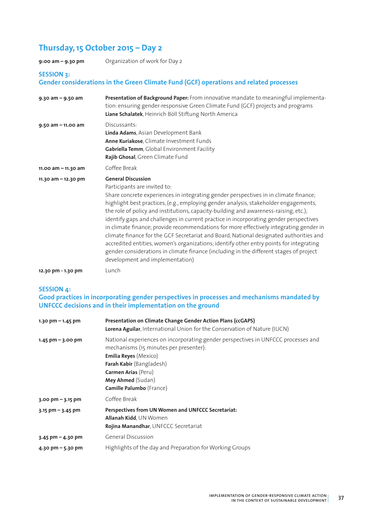# **Thursday, 15 October 2015 – Day 2**

**9:00 am – 9.30 pm** Organization of work for Day 2

### **SESSION 3:**

### **Gender considerations in the Green Climate Fund (GCF) operations and related processes**

| $9.30$ am - $9.50$ am  | Presentation of Background Paper: From innovative mandate to meaningful implementa-<br>tion: ensuring gender-responsive Green Climate Fund (GCF) projects and programs<br>Liane Schalatek, Heinrich Böll Stiftung North America                                                                                                                                                                                                                                                                                                                                                                                                                                                                                                                                                                                                        |
|------------------------|----------------------------------------------------------------------------------------------------------------------------------------------------------------------------------------------------------------------------------------------------------------------------------------------------------------------------------------------------------------------------------------------------------------------------------------------------------------------------------------------------------------------------------------------------------------------------------------------------------------------------------------------------------------------------------------------------------------------------------------------------------------------------------------------------------------------------------------|
| $9.50$ am $-$ 11.00 am | Discussants:<br>Linda Adams, Asian Development Bank<br>Anne Kuriakose, Climate Investment Funds<br>Gabriella Temm, Global Environment Facility<br>Rajib Ghosal, Green Climate Fund                                                                                                                                                                                                                                                                                                                                                                                                                                                                                                                                                                                                                                                     |
| 11.00 am - 11.30 am    | Coffee Break                                                                                                                                                                                                                                                                                                                                                                                                                                                                                                                                                                                                                                                                                                                                                                                                                           |
| 11.30 am $-$ 12.30 pm  | <b>General Discussion</b><br>Participants are invited to:<br>Share concrete experiences in integrating gender perspectives in in climate finance;<br>highlight best practices, (e.g., employing gender analysis, stakeholder engagements,<br>the role of policy and institutions, capacity-building and awareness-raising, etc.);<br>identify gaps and challenges in current practice in incorporating gender perspectives<br>in climate finance; provide recommendations for more effectively integrating gender in<br>climate finance for the GCF Secretariat and Board, National designated authorities and<br>accredited entities, women's organizations; identify other entry points for integrating<br>gender considerations in climate finance (including in the different stages of project<br>development and implementation) |
| 12.30 pm - 1.30 pm     | Lunch                                                                                                                                                                                                                                                                                                                                                                                                                                                                                                                                                                                                                                                                                                                                                                                                                                  |

#### **SESSION 4:**

## **Good practices in incorporating gender perspectives in processes and mechanisms mandated by UNFCCC decisions and in their implementation on the ground**

| 1.30 pm $-$ 1.45 pm                 | Presentation on Climate Change Gender Action Plans (ccGAPS)<br>Lorena Aguilar, International Union for the Conservation of Nature (IUCN)                                                                                                                        |
|-------------------------------------|-----------------------------------------------------------------------------------------------------------------------------------------------------------------------------------------------------------------------------------------------------------------|
| $1.45$ pm $-$ 3.00 pm               | National experiences on incorporating gender perspectives in UNFCCC processes and<br>mechanisms (15 minutes per presenter):<br><b>Emilia Reyes (Mexico)</b><br>Farah Kabir (Bangladesh)<br>Carmen Arias (Peru)<br>Mey Ahmed (Sudan)<br>Camille Palumbo (France) |
| $3.00 \text{ pm} - 3.15 \text{ pm}$ | Coffee Break                                                                                                                                                                                                                                                    |
| $3.15$ pm $-$ 3.45 pm               | Perspectives from UN Women and UNFCCC Secretariat:<br><b>Allanah Kidd, UN Women</b><br>Rojina Manandhar, UNFCCC Secretariat                                                                                                                                     |
| $3.45$ pm – 4.30 pm                 | <b>General Discussion</b>                                                                                                                                                                                                                                       |
| 4.30 pm $-$ 5.30 pm                 | Highlights of the day and Preparation for Working Groups                                                                                                                                                                                                        |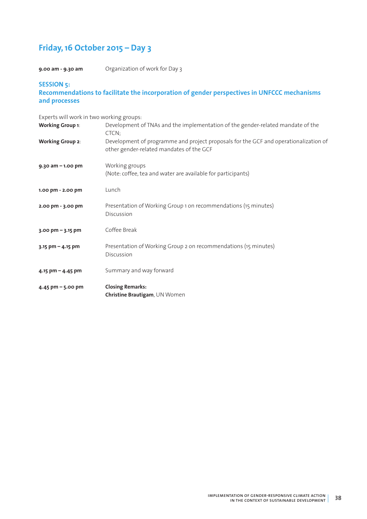# **Friday, 16 October 2015 – Day 3**

**9.00 am - 9.30 am** Organization of work for Day 3

### **SESSION 5: Recommendations to facilitate the incorporation of gender perspectives in UNFCCC mechanisms and processes**

Experts will work in two working groups:

| <b>Working Group 1:</b> | Development of TNAs and the implementation of the gender-related mandate of the<br>CTCN;                                         |
|-------------------------|----------------------------------------------------------------------------------------------------------------------------------|
| <b>Working Group 2:</b> | Development of programme and project proposals for the GCF and operationalization of<br>other gender-related mandates of the GCF |
| $9.30$ am $-1.00$ pm    | Working groups<br>(Note: coffee, tea and water are available for participants)                                                   |
| 1.00 pm - 2.00 pm       | Lunch                                                                                                                            |
| 2.00 pm - 3.00 pm       | Presentation of Working Group 1 on recommendations (15 minutes)<br>Discussion                                                    |
| $3.00$ pm $- 3.15$ pm   | Coffee Break                                                                                                                     |
| $3.15$ pm - 4.15 pm     | Presentation of Working Group 2 on recommendations (15 minutes)<br>Discussion                                                    |
| 4.15 pm $-$ 4.45 pm     | Summary and way forward                                                                                                          |
| $4.45$ pm $-5.00$ pm    | <b>Closing Remarks:</b><br>Christine Brautigam, UN Women                                                                         |